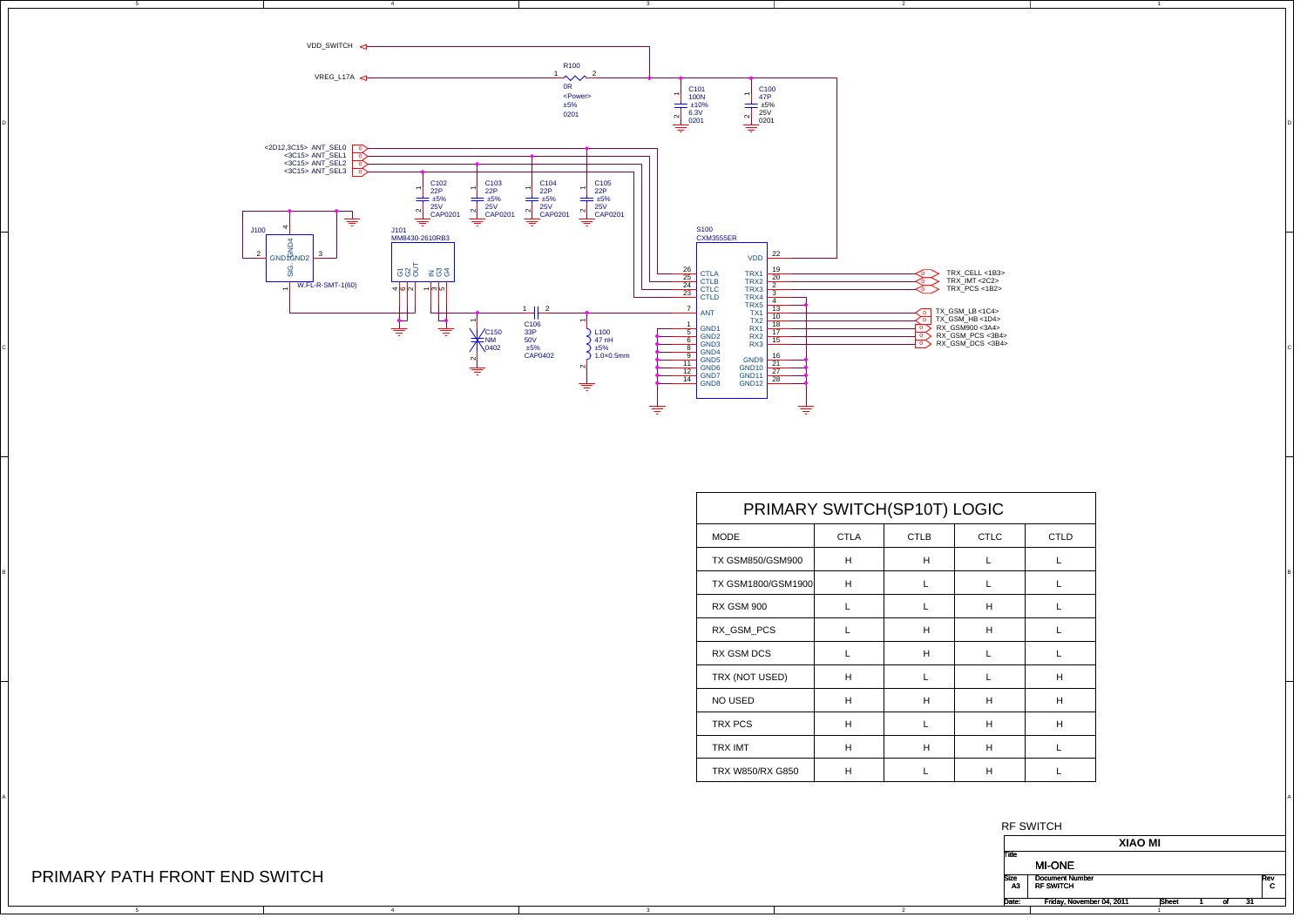

A

|      | PRIMARY SWITCH(SP10T) LOGIC |             |             |                    |
|------|-----------------------------|-------------|-------------|--------------------|
| CTLD | <b>CTLC</b>                 | <b>CTLB</b> | <b>CTLA</b> |                    |
|      | L.                          | H           | H           | TX GSM850/GSM900   |
|      | L.                          |             | H           | TX GSM1800/GSM1900 |
|      | H                           |             | <b>L</b>    | <b>RX GSM 900</b>  |
|      | H                           | H           | <b>L</b>    | RX_GSM_PCS         |
|      | L.                          | H           | <b>L</b>    | RX GSM DCS         |
| H    | ┺                           |             | H           | TRX (NOT USED)     |
| H    | H                           | H           | H           | NO USED            |
| H    | H                           |             | H           | TRX PCS            |
|      | H                           | H           | H           | TRX IMT            |
|      | H                           |             | H           | TRX W850/RX G850   |

2



## PRIMARY PATH FRONT END SWITCH

C

A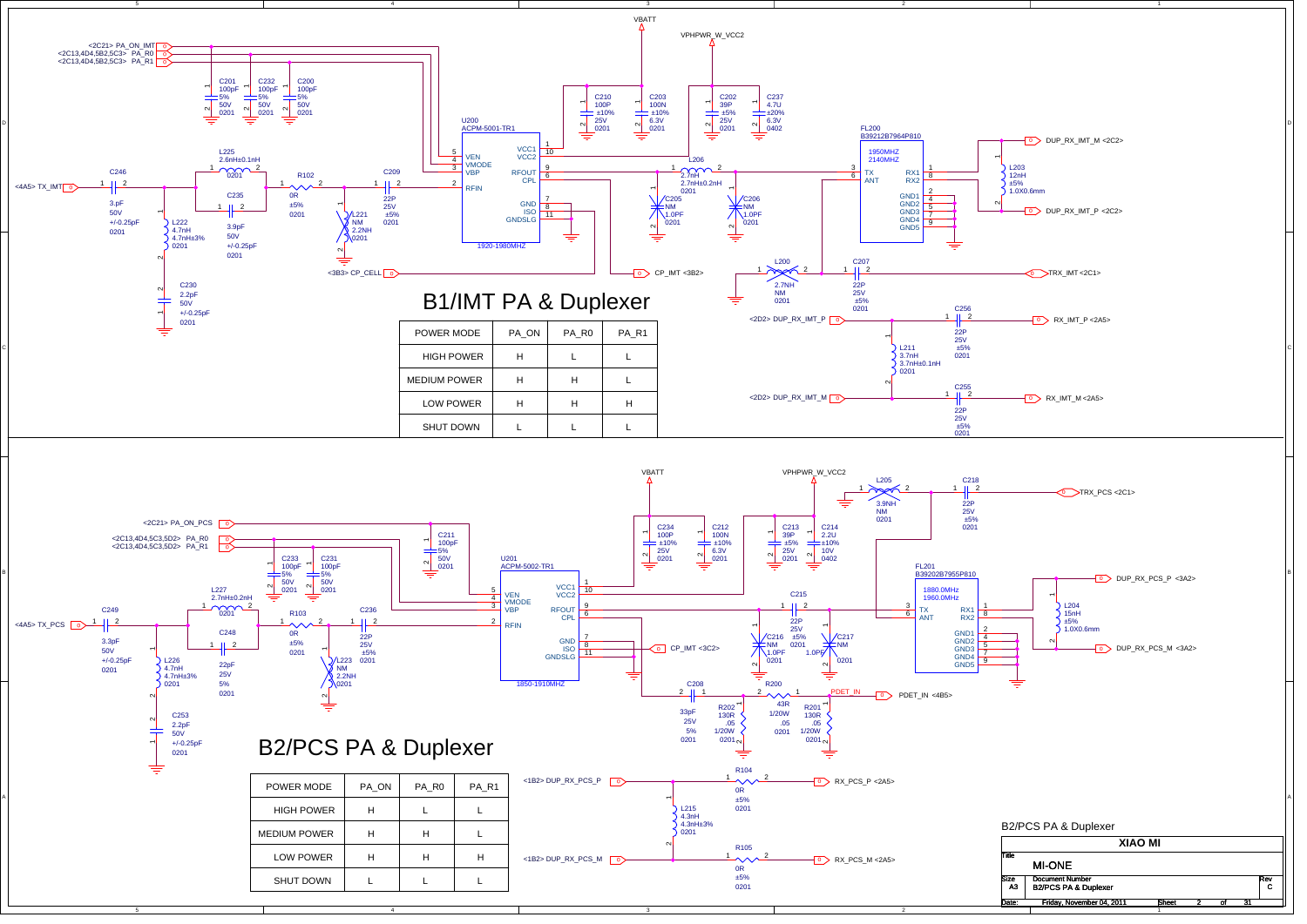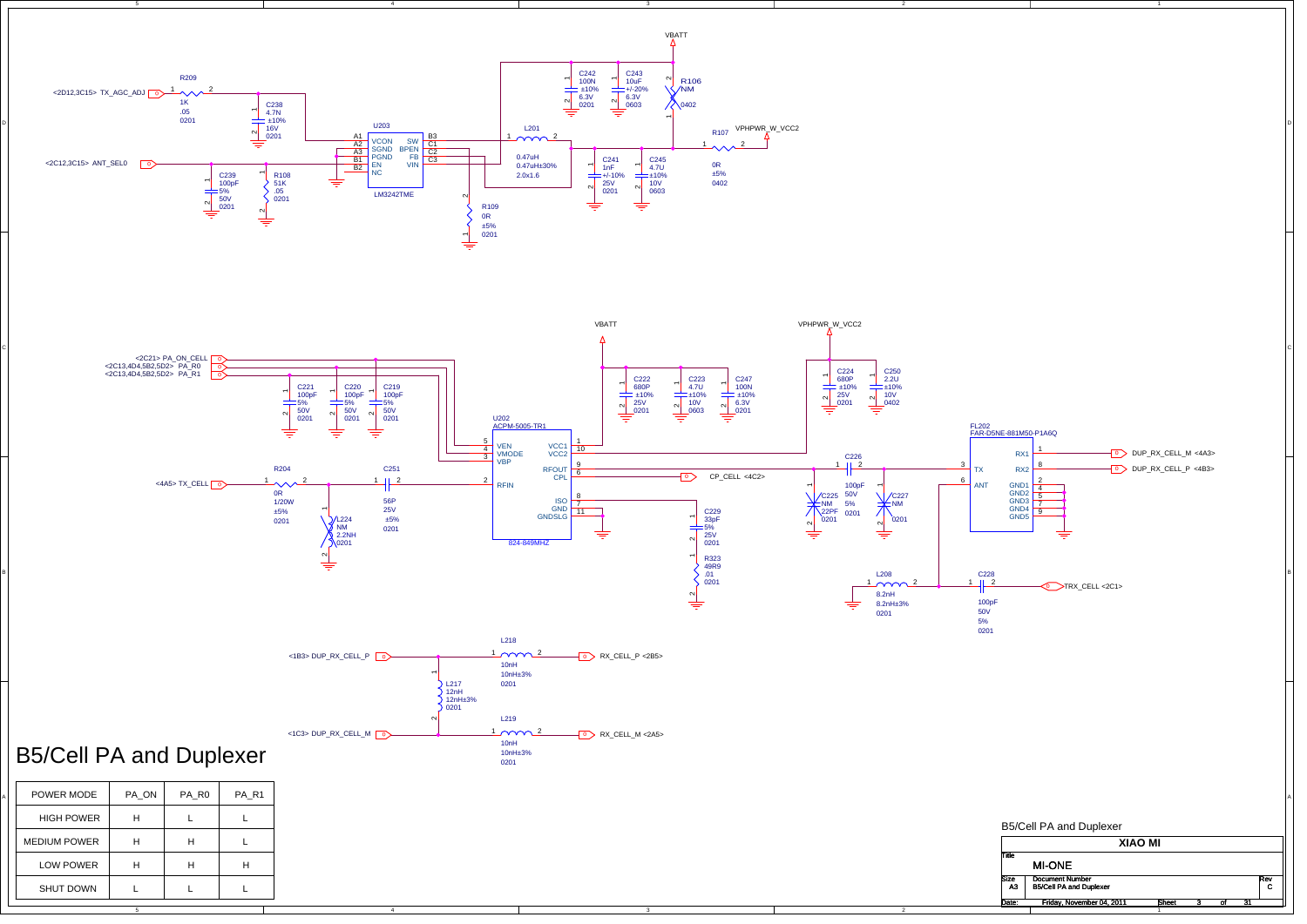

B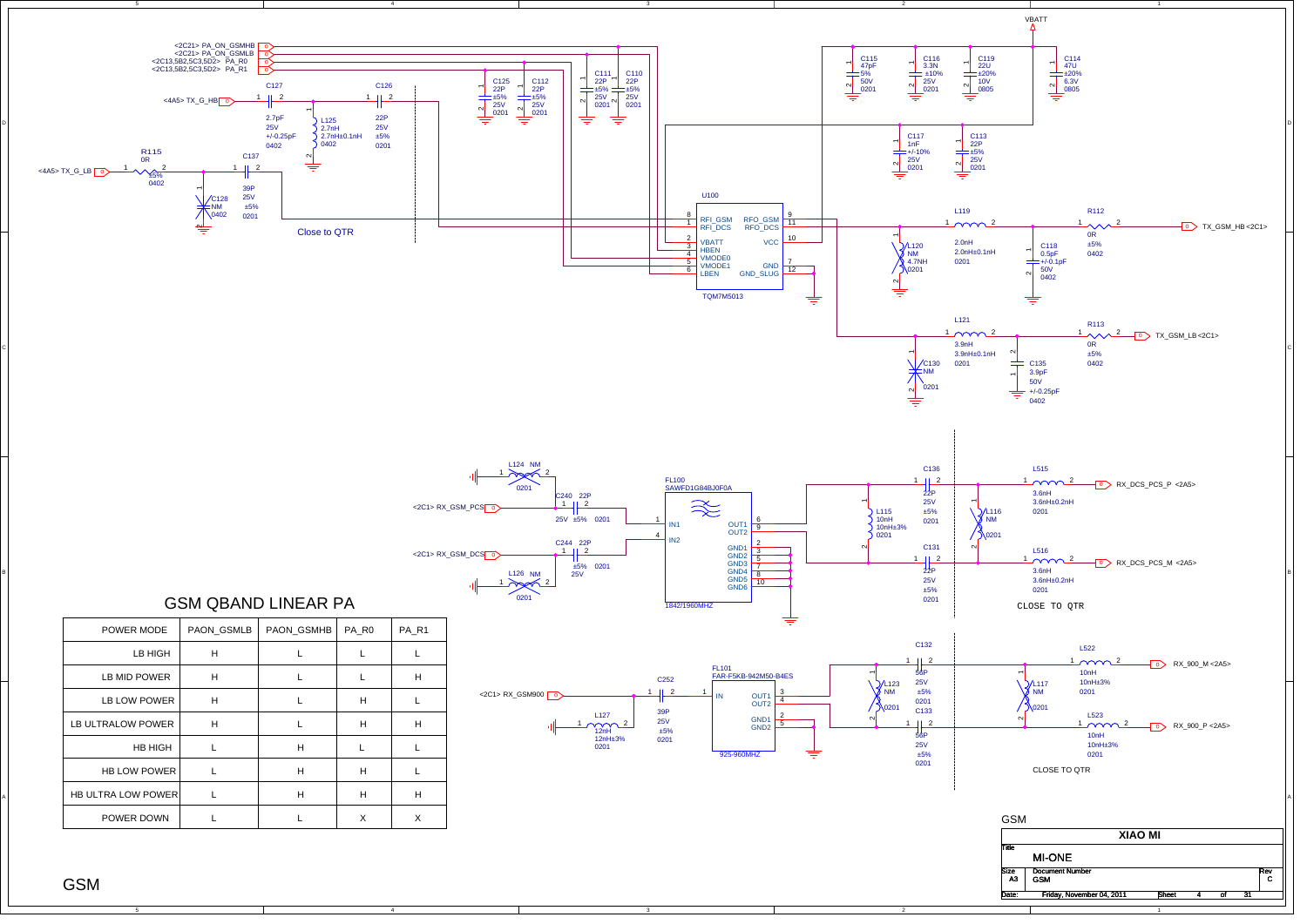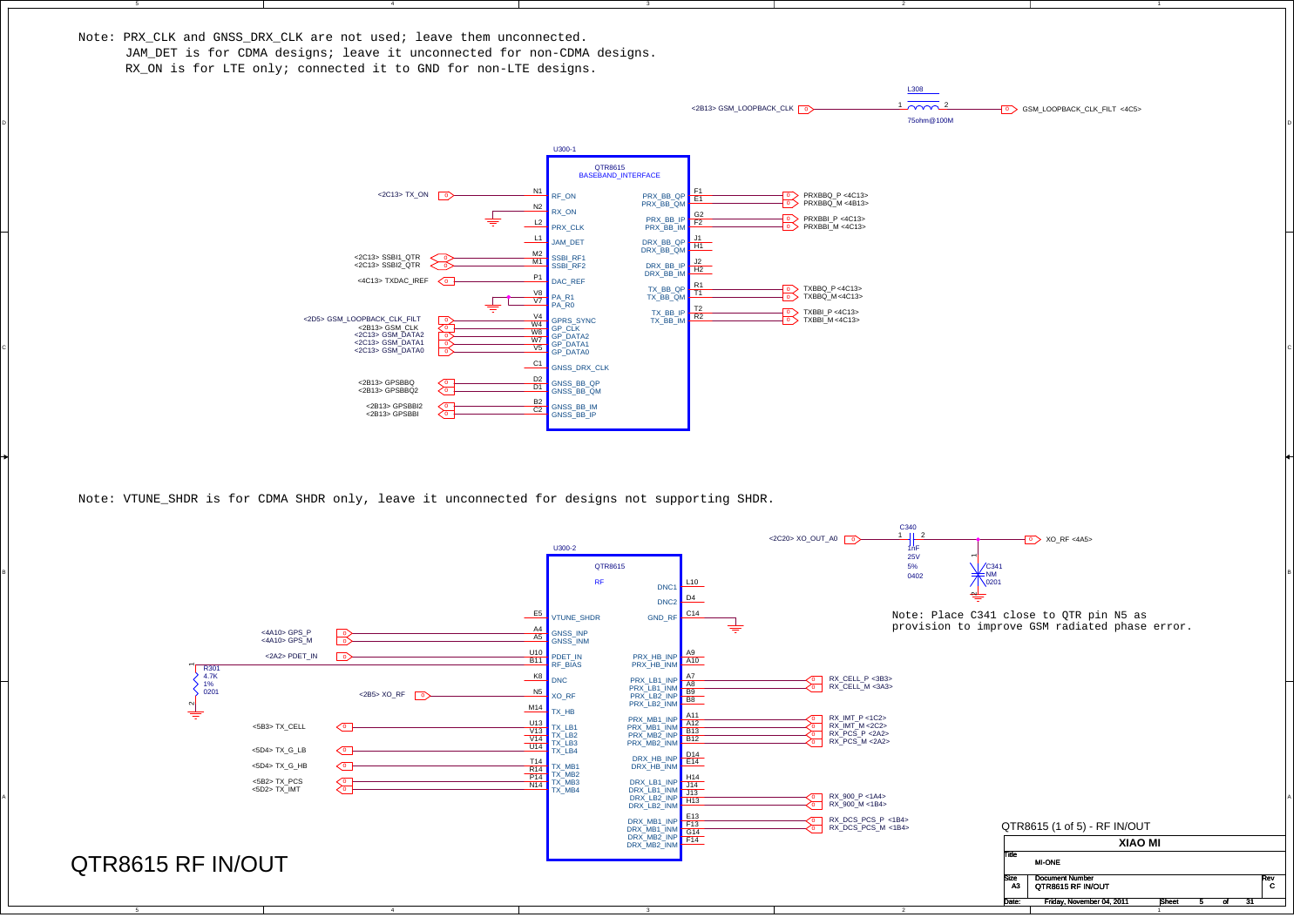Note: PRX CLK and GNSS DRX CLK are not used; leave them unconnected.

C

B

A

JAM DET is for CDMA designs; leave it unconnected for non-CDMA designs. RX ON is for LTE only; connected it to GND for non-LTE designs.



2

Note: VTUNE\_SHDR is for CDMA SHDR only, leave it unconnected for designs not supporting SHDR.

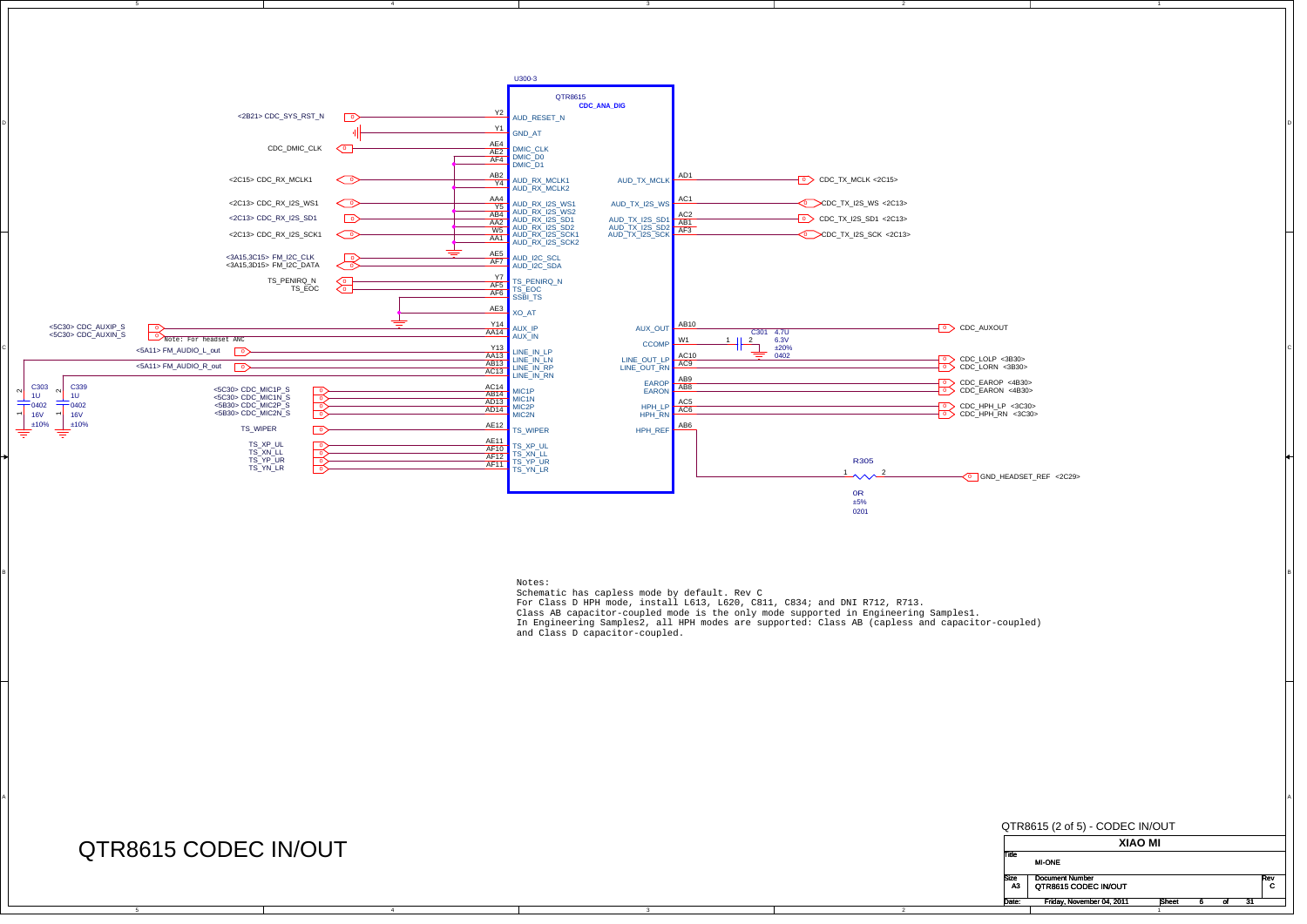



BI<br>BI Schematic has capless mode by default. Rev C

A

For Class D HPH mode, install L613, L620, C811, C834; and DNI R712, R713.

Class AB capacitor-coupled mode is the only mode supported in Engineering Samples1. In Engineering Samples2, all HPH modes are supported: Class AB (capless and capacitor-coupled) and Class D capacitor-coupled.

2

## QTR8615 CODEC IN/OUT

B

A

4

QTR8615 (2 of 5) - CODEC IN/OUT **XIAO MI**TitleDocument Number Rev<br>C Date: Friday, November 04, 2011 6 Sheet 6 of 31 ofQTR8615 CODEC IN/OUTT lo MI-ONE A3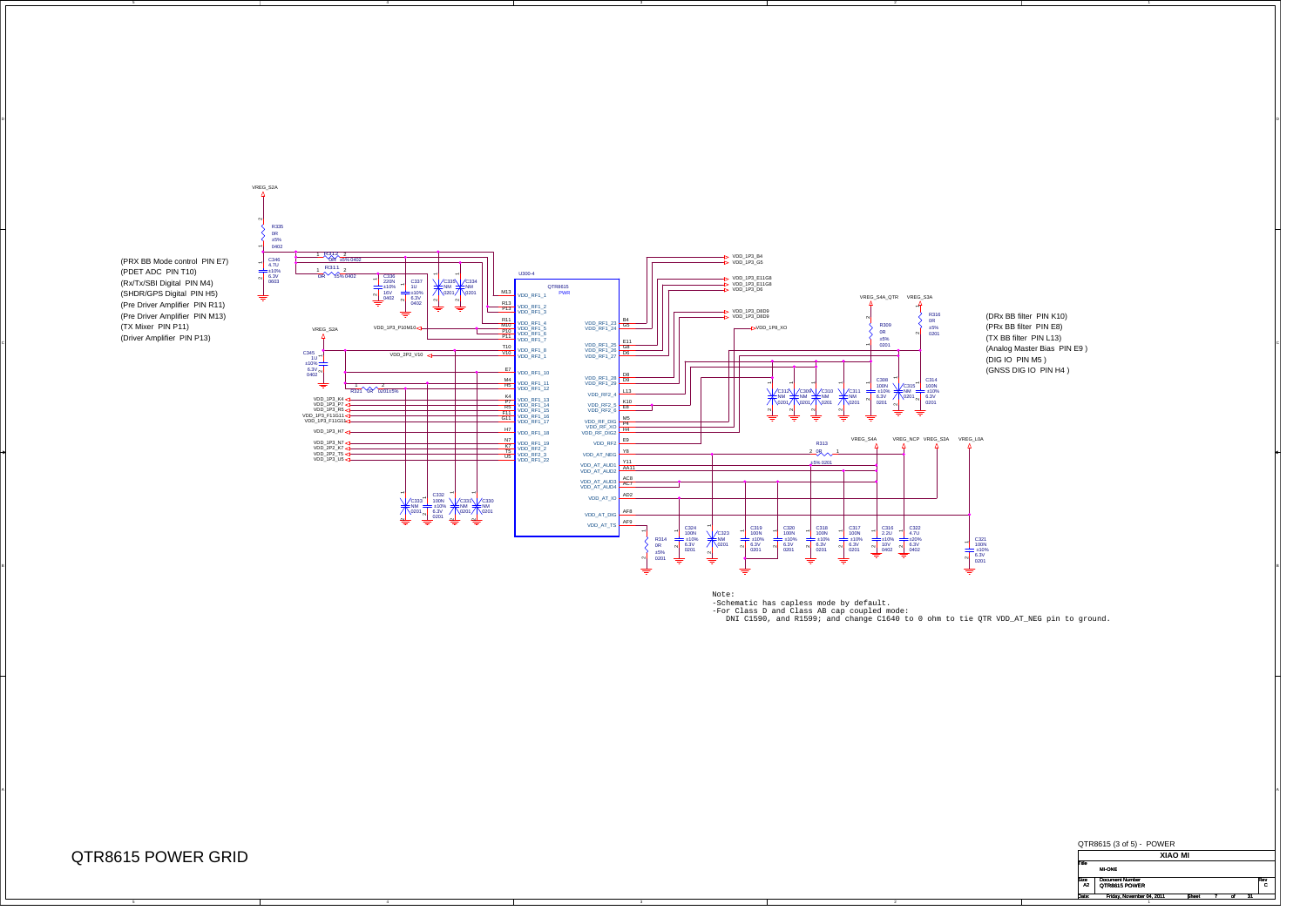

VREG\_S2A

4

4



ol and the contract of the contract of the contract of the contract of the contract of the contract of the contract of the contract of the contract of the contract of the contract of the contract of the contract of the con

3

 $\overline{A}$ 

Note:<br>-Schematic has capless mode by default.<br>-For Class D and Class AB cap coupled mode:<br>-Por Class D and R1599; and change C1640 to 0 ohm to tie QTR VDD AT NEG pin to ground.

2



Date: Friday, November 04, 2011 Rheet 7 of 31

 $\overline{\phantom{a}}$ 

1

QTR8615 POWER GRID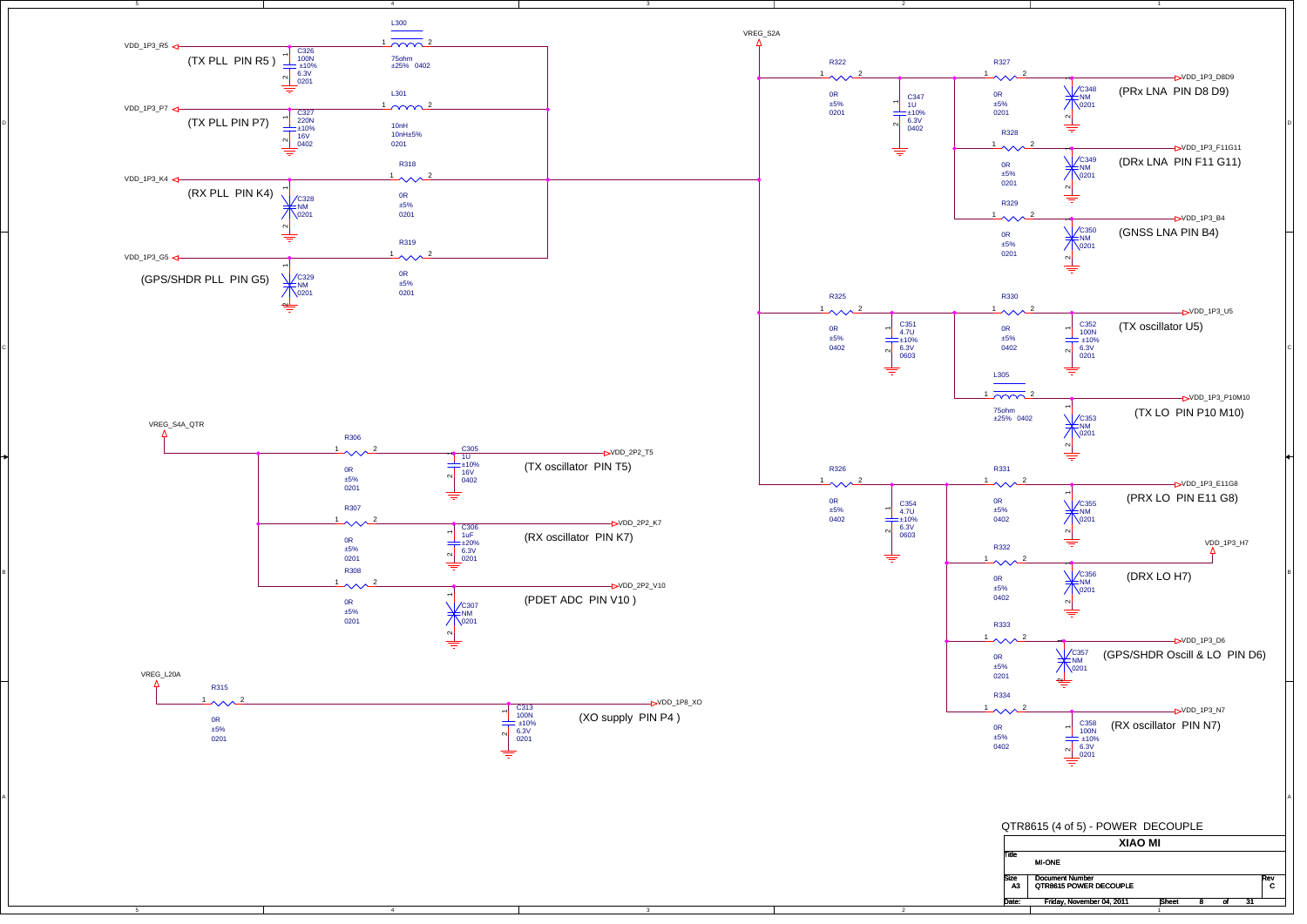

B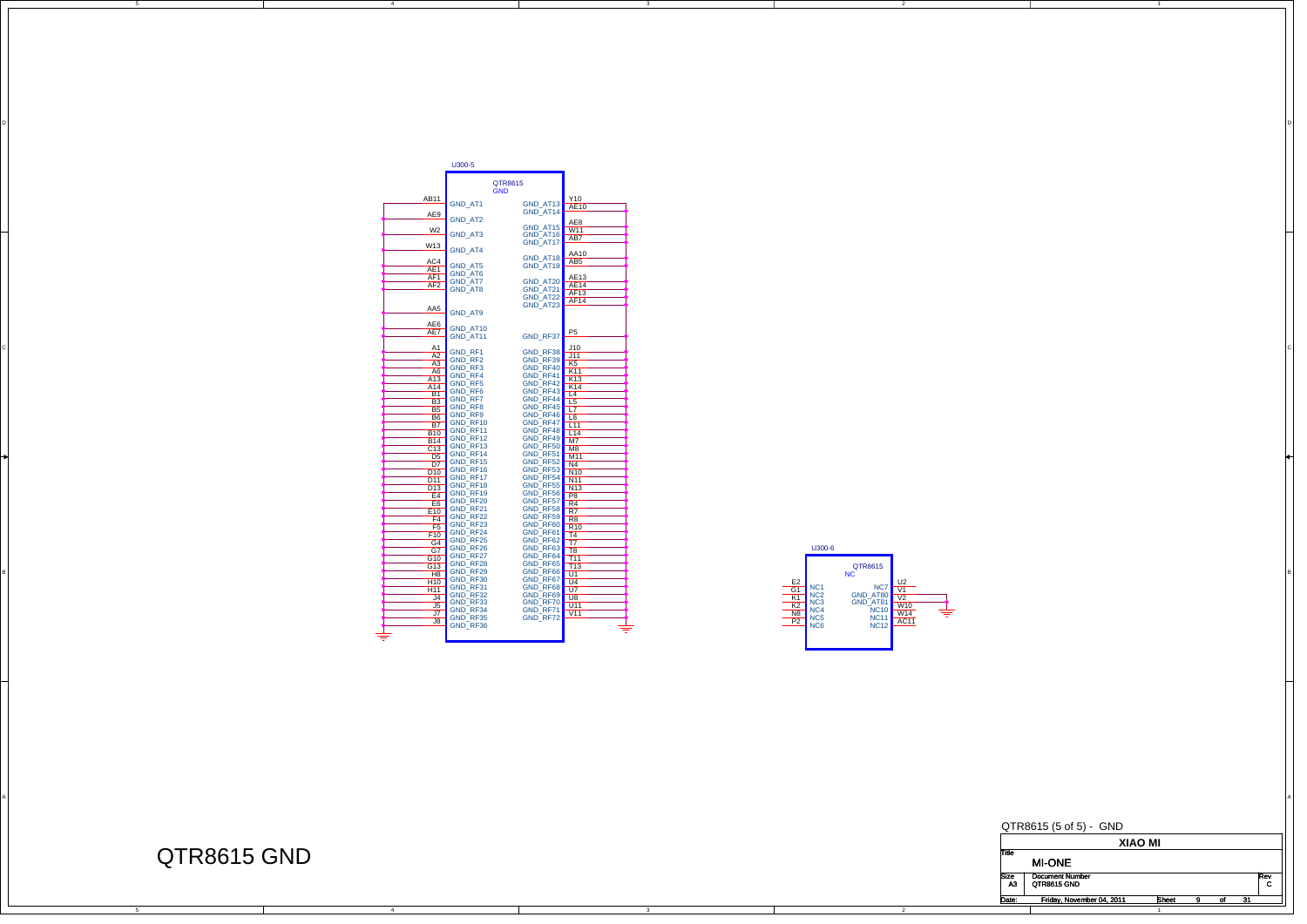

DI<br>Di

A



2



QTR8615 GND

C

B

A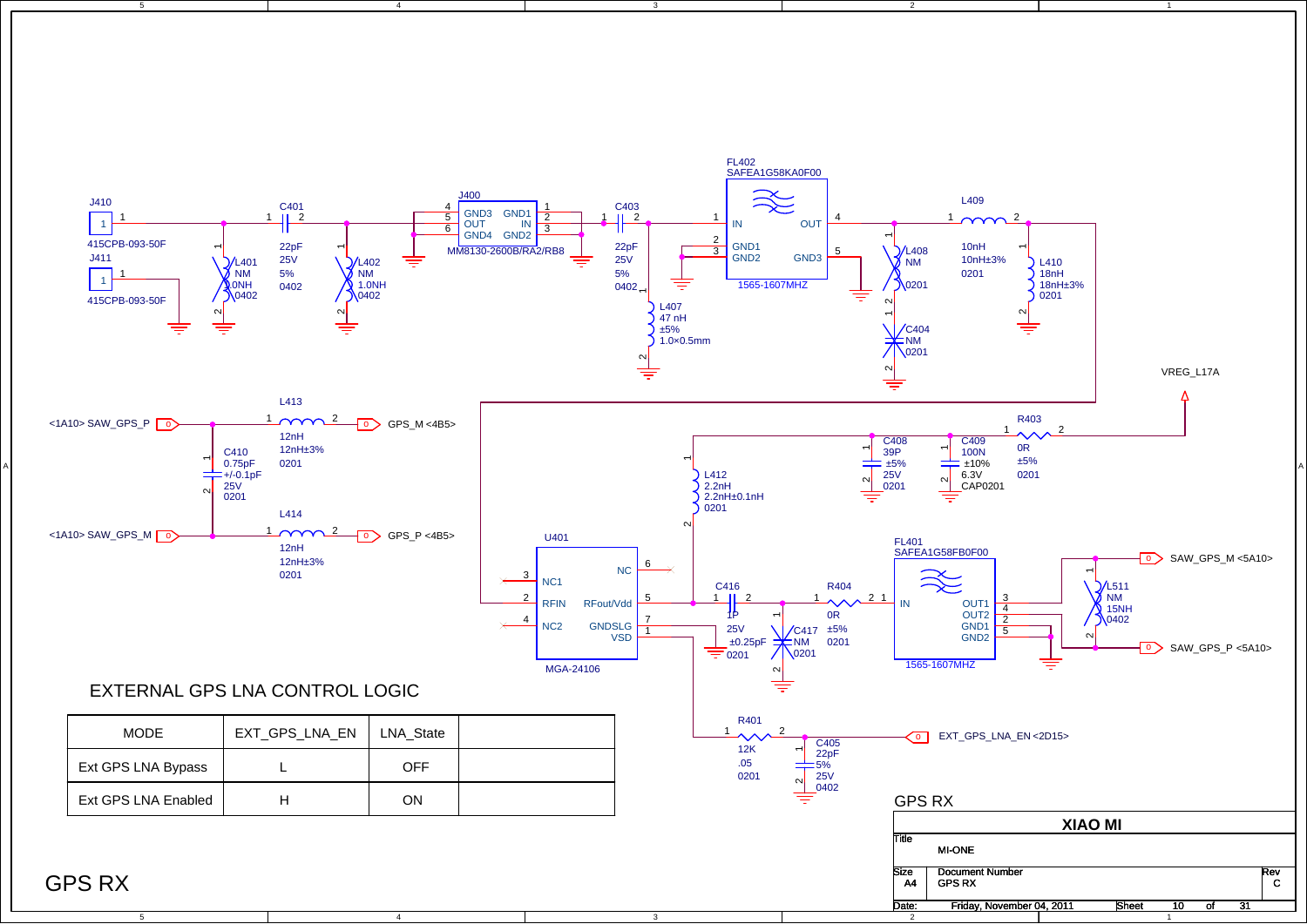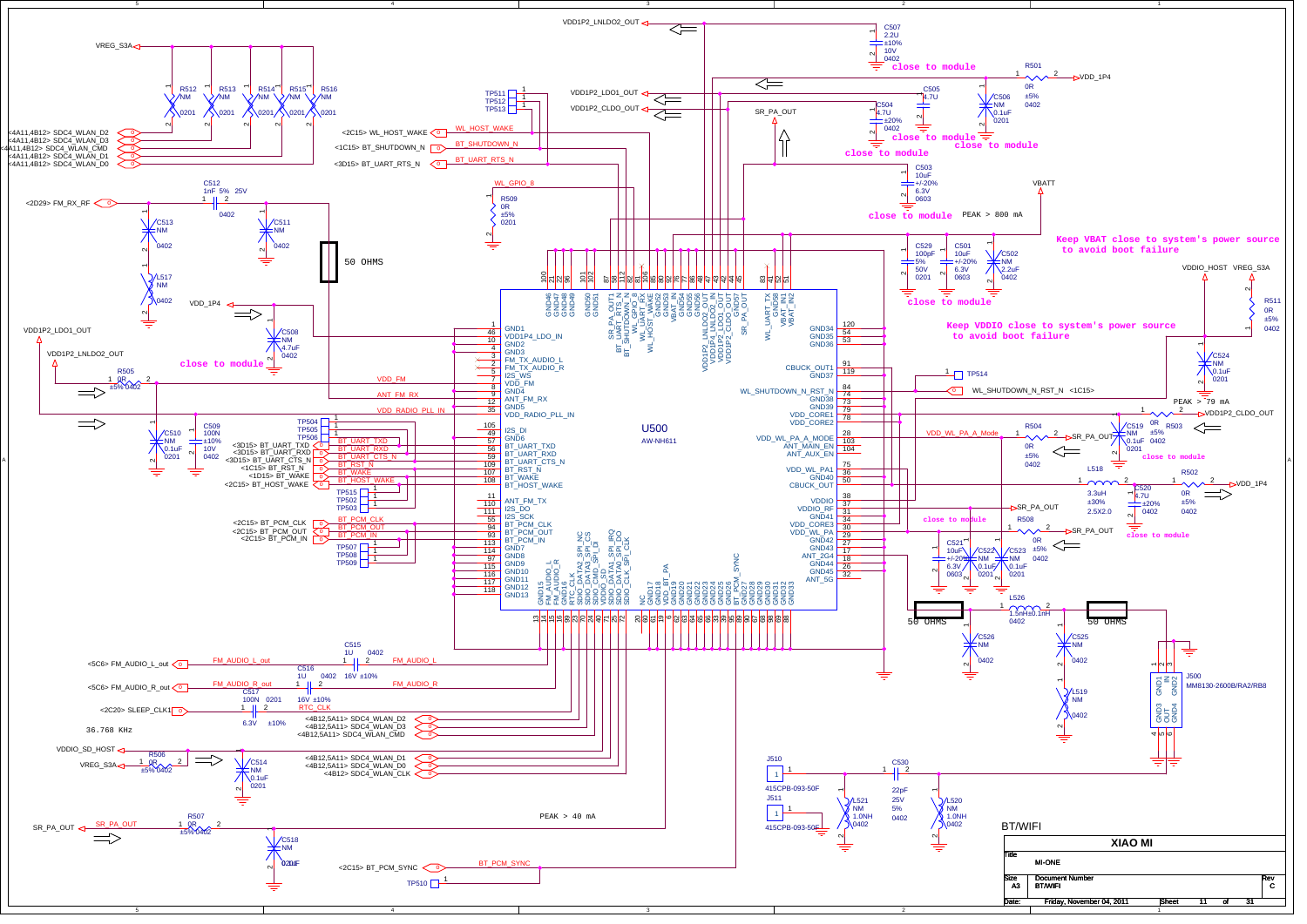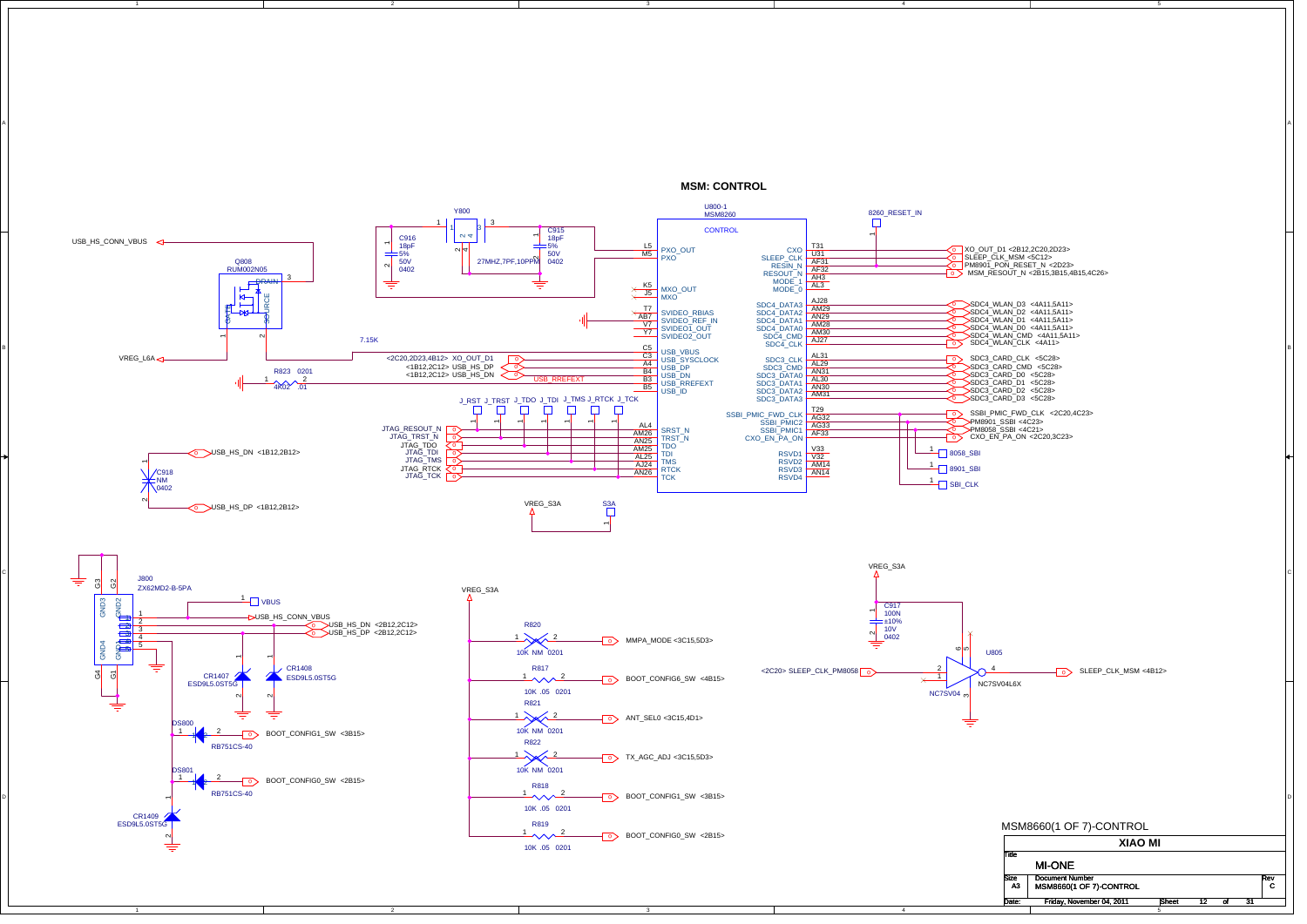

**MSM: CONTROL**

A

2

A

B

C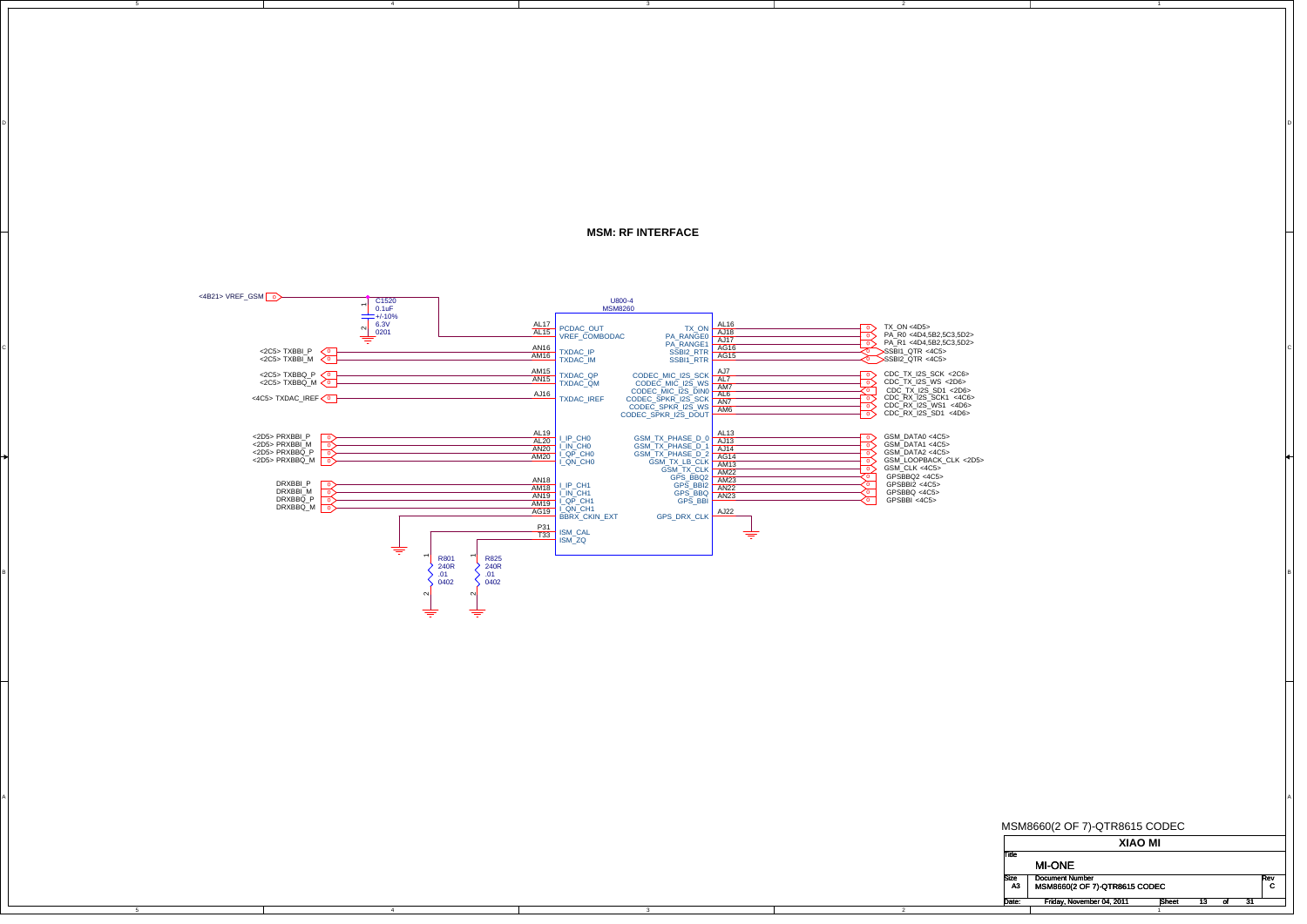## **MSM: RF INTERFACE**

DI<br>Di

2



A

4

C

B

A

MSM8660(2 OF 7)-QTR8615 CODEC

**XIAO MI** TitleSize Document Number<br>A3 MSM8660(2 OF 7)-QTR8615 CODEC CC Rev<br>C Date: Friday, November 04, 2011 15heet 13 of 31 t 13 of MI-ONEA3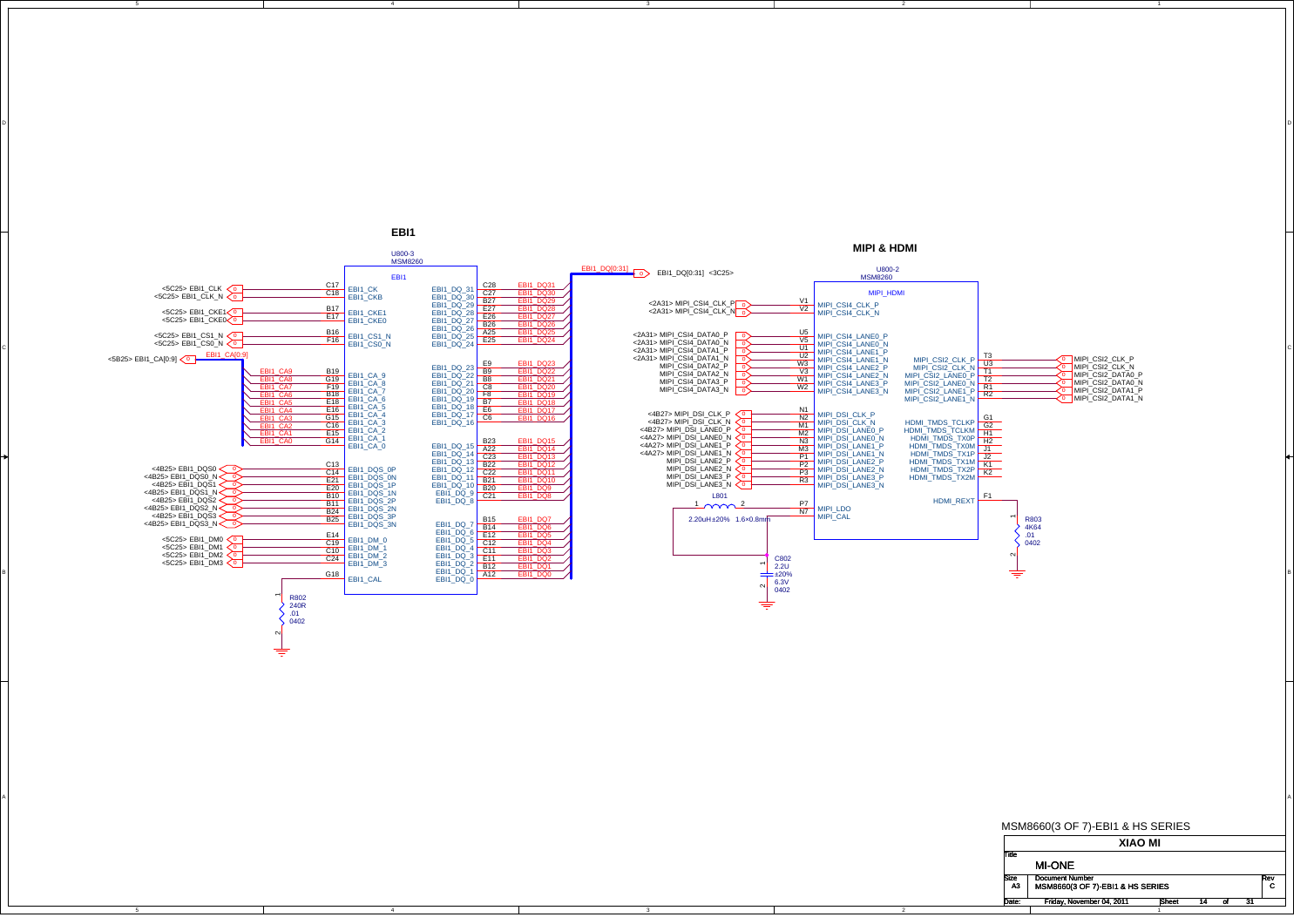

B

A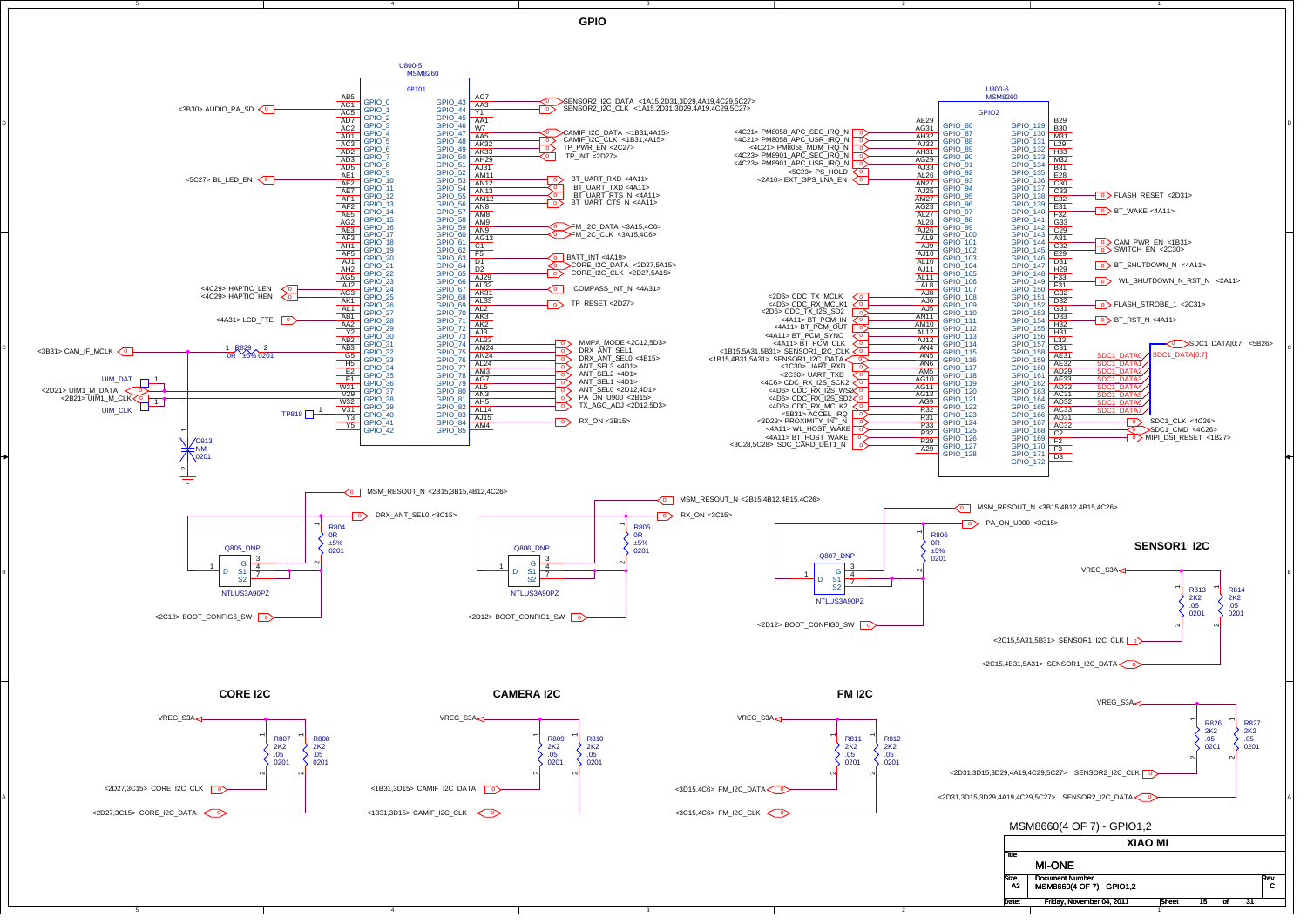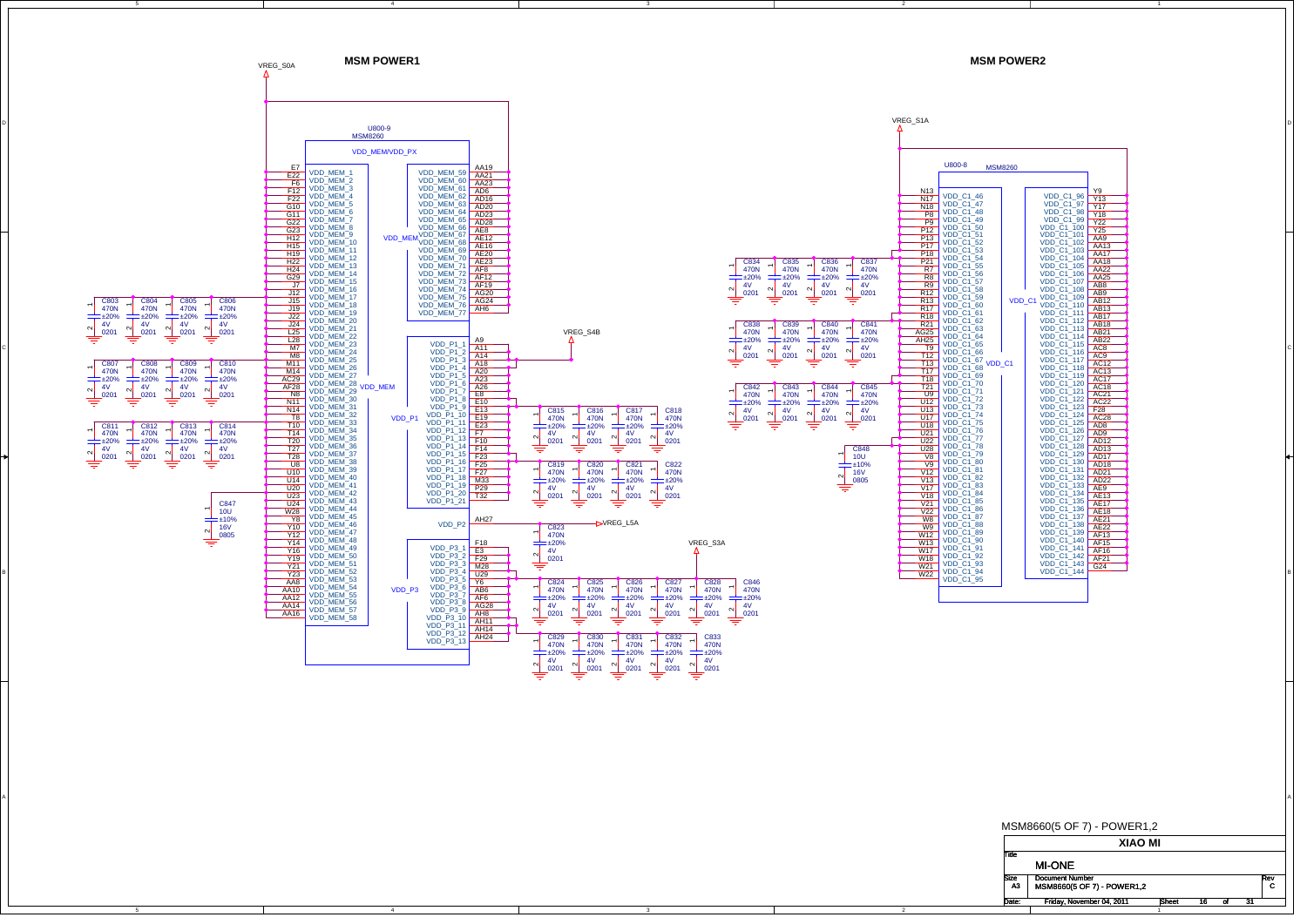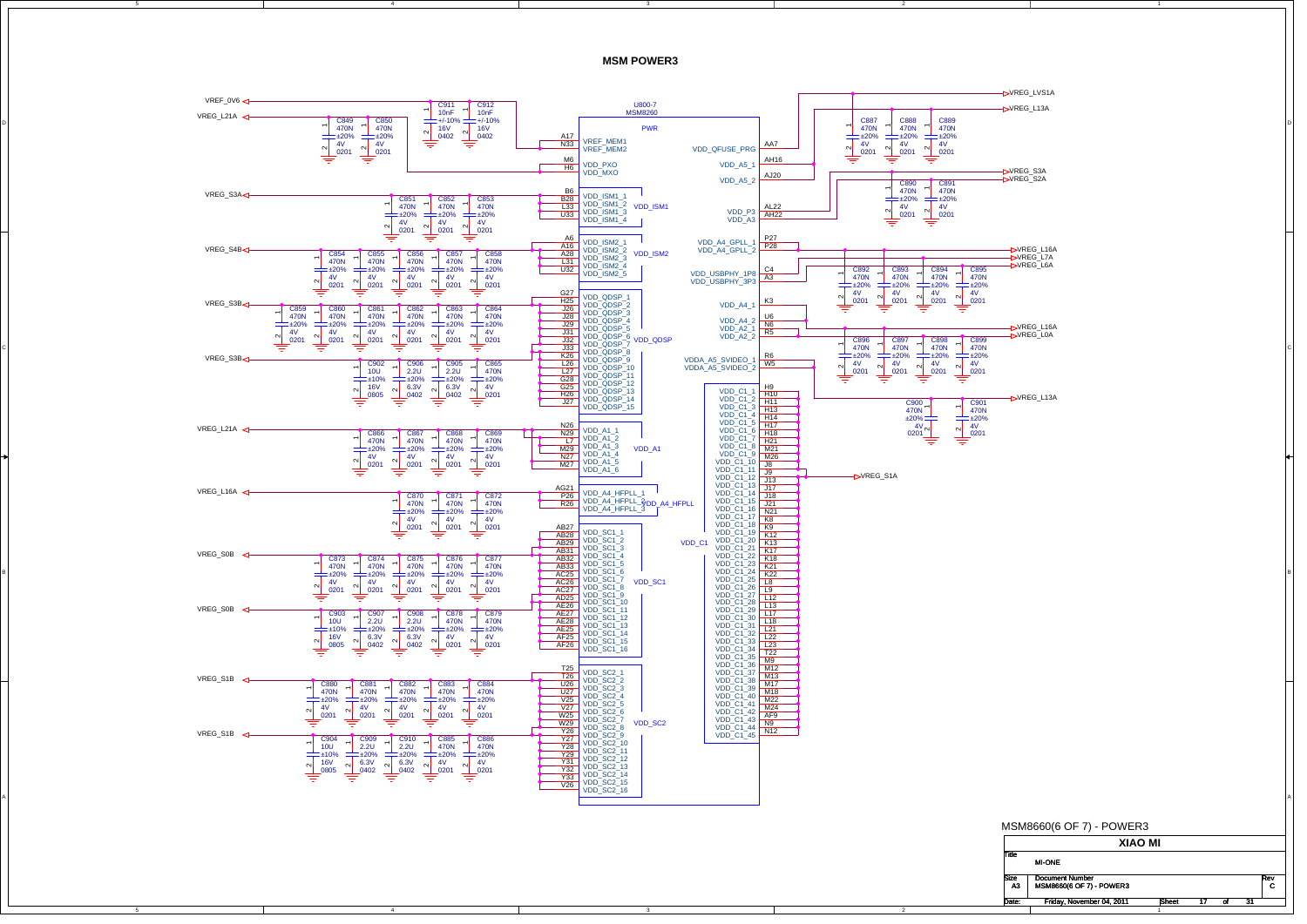**MSM POWER3**

2

Rev<br>C



C

B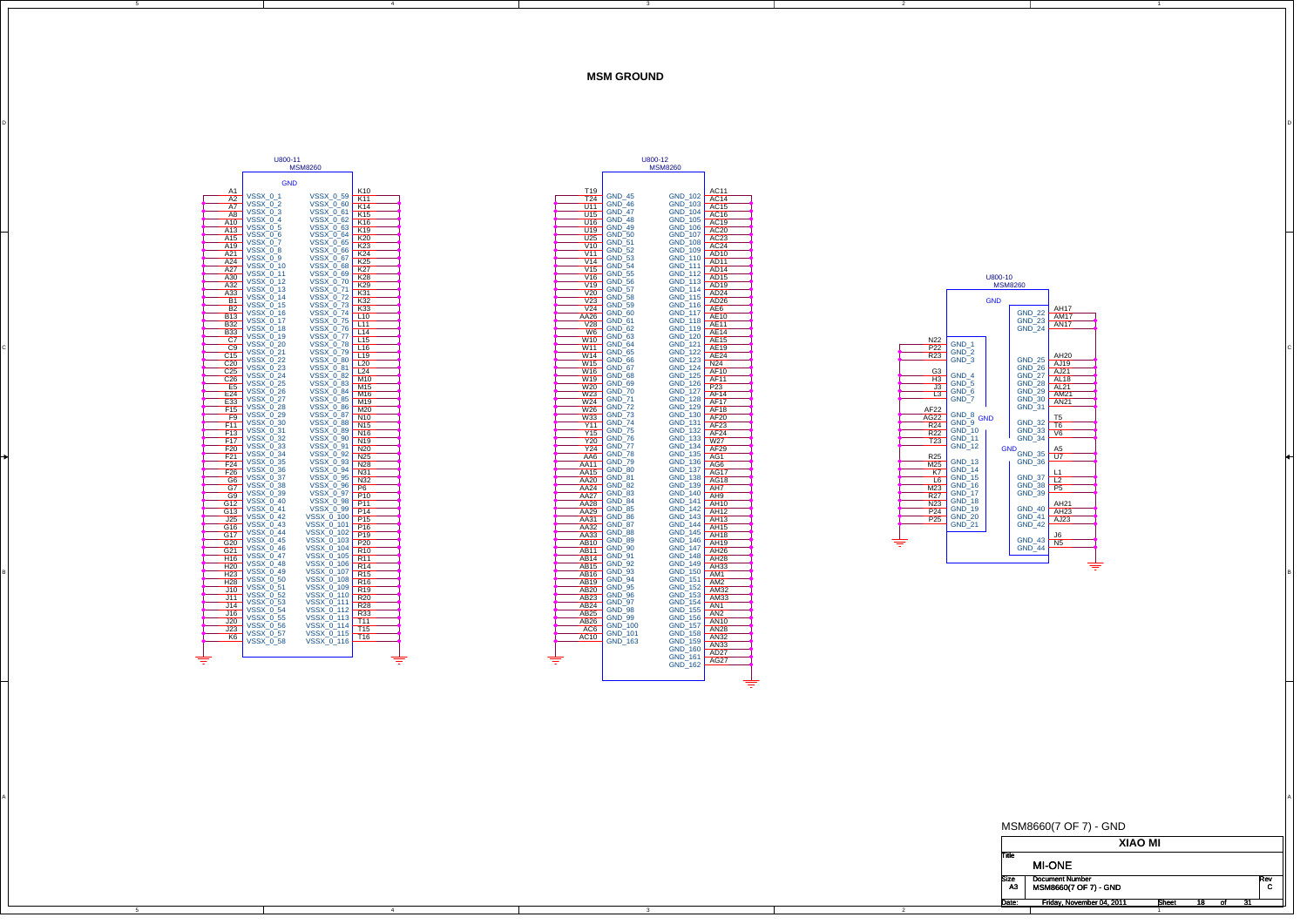**MSM GROUND**



C

B

A

4



A



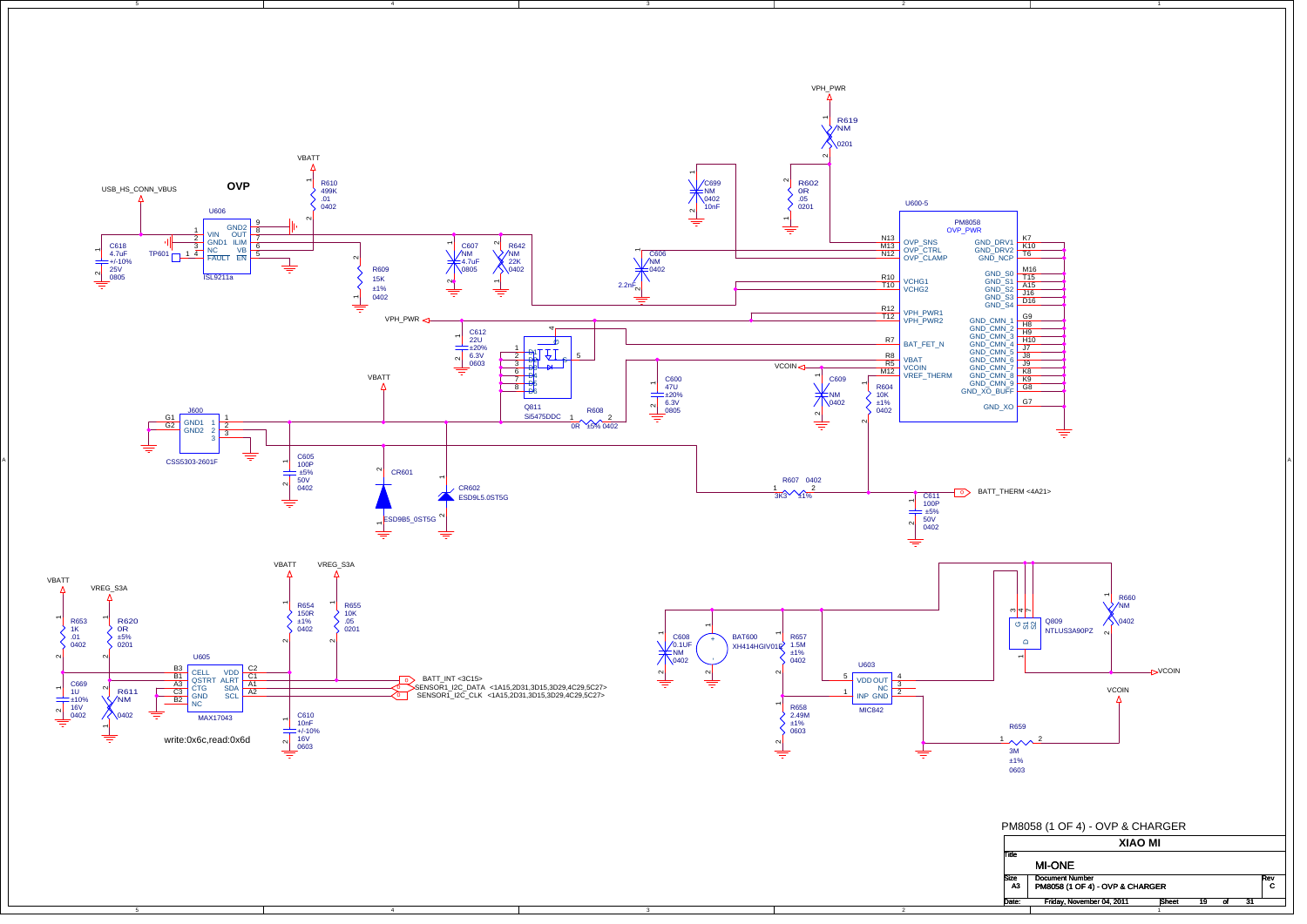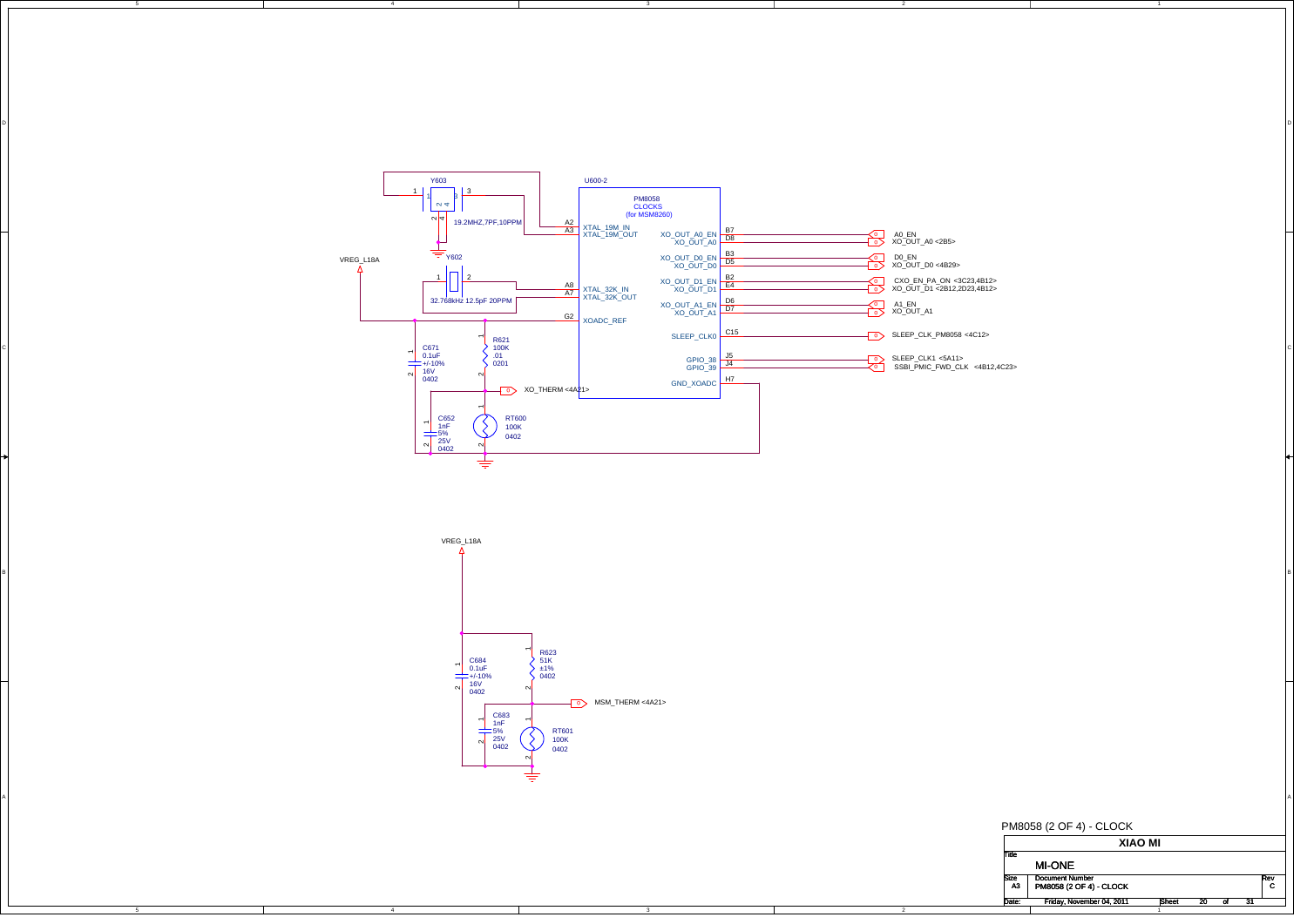

DI<br>Di

2



A

4

C

B

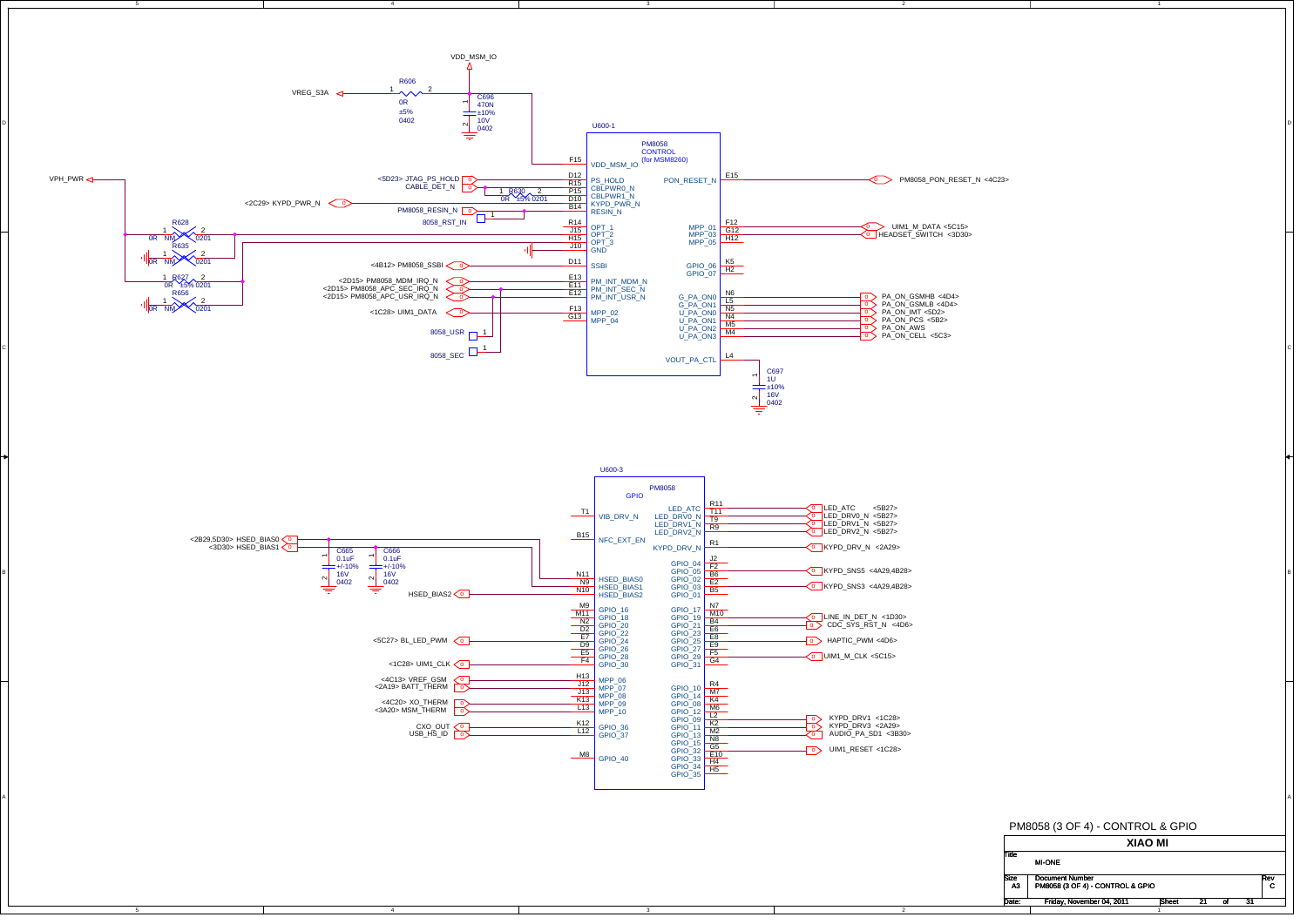

B

A

Size Document Number<br>
A3 PM8058 (3 OF 4) - CONTROL & GPIO CONTROL & CONTROL & GPIO Rev<br>C Date: SheetFriday, November 04, 2011 21 31 t 21 of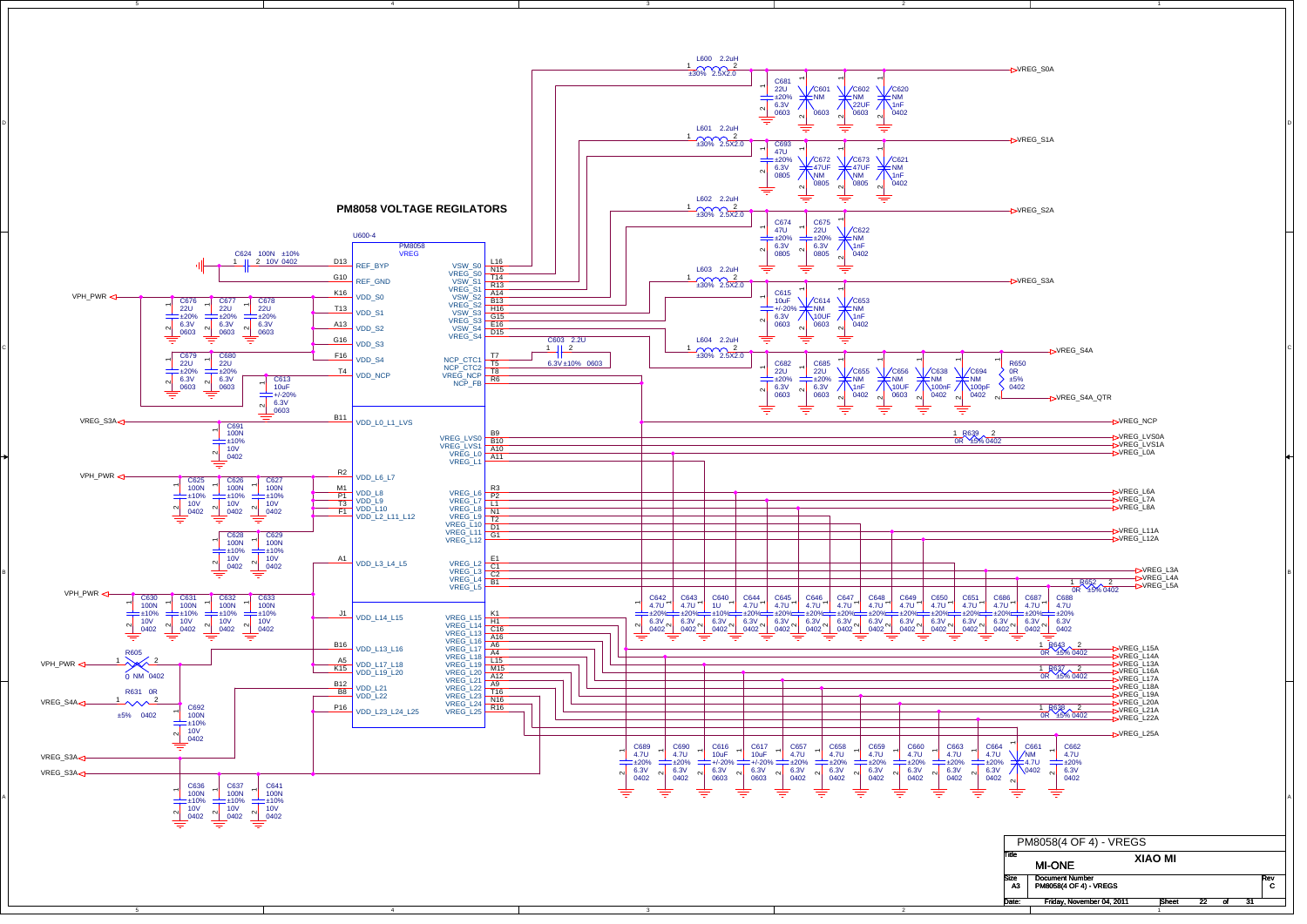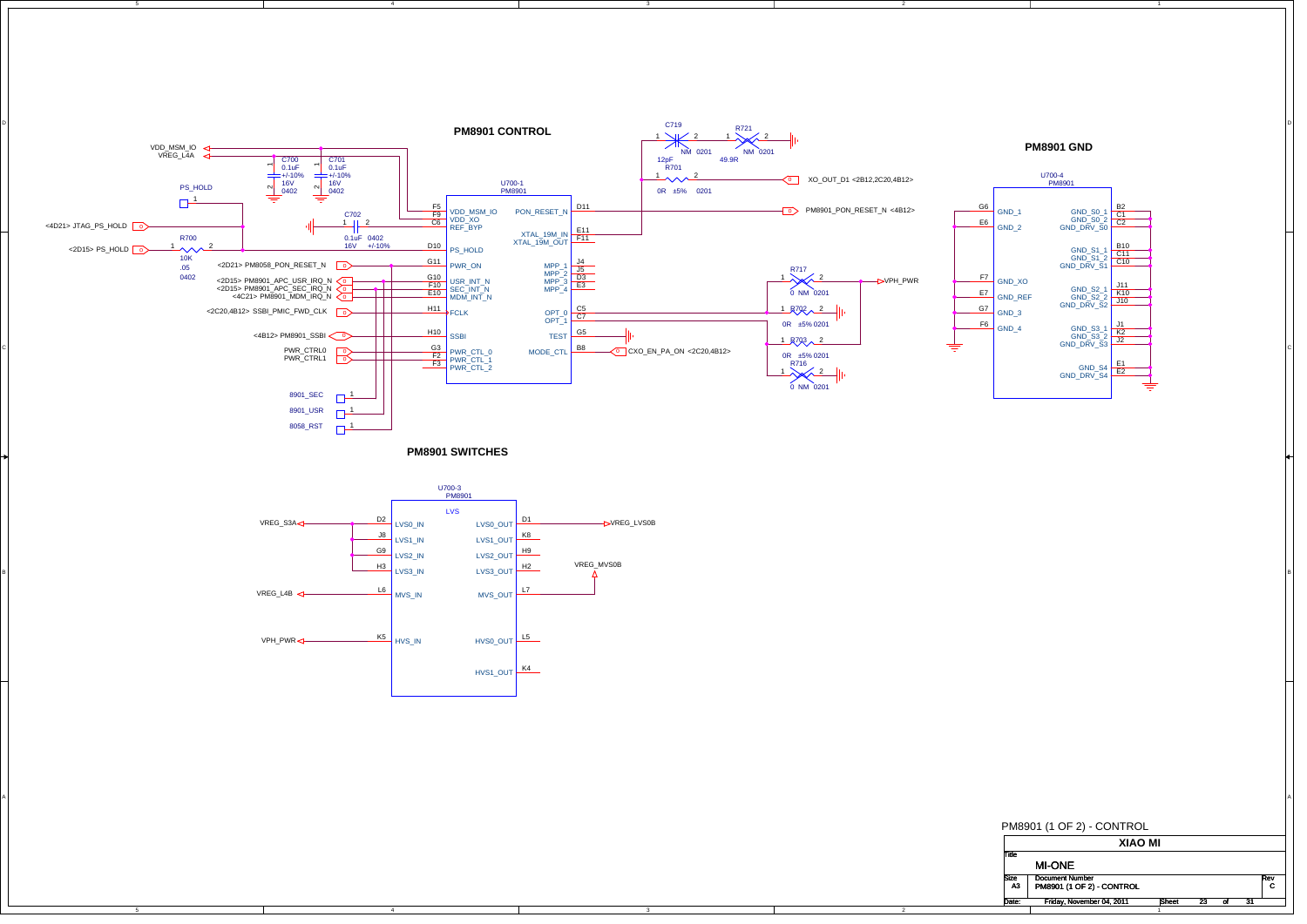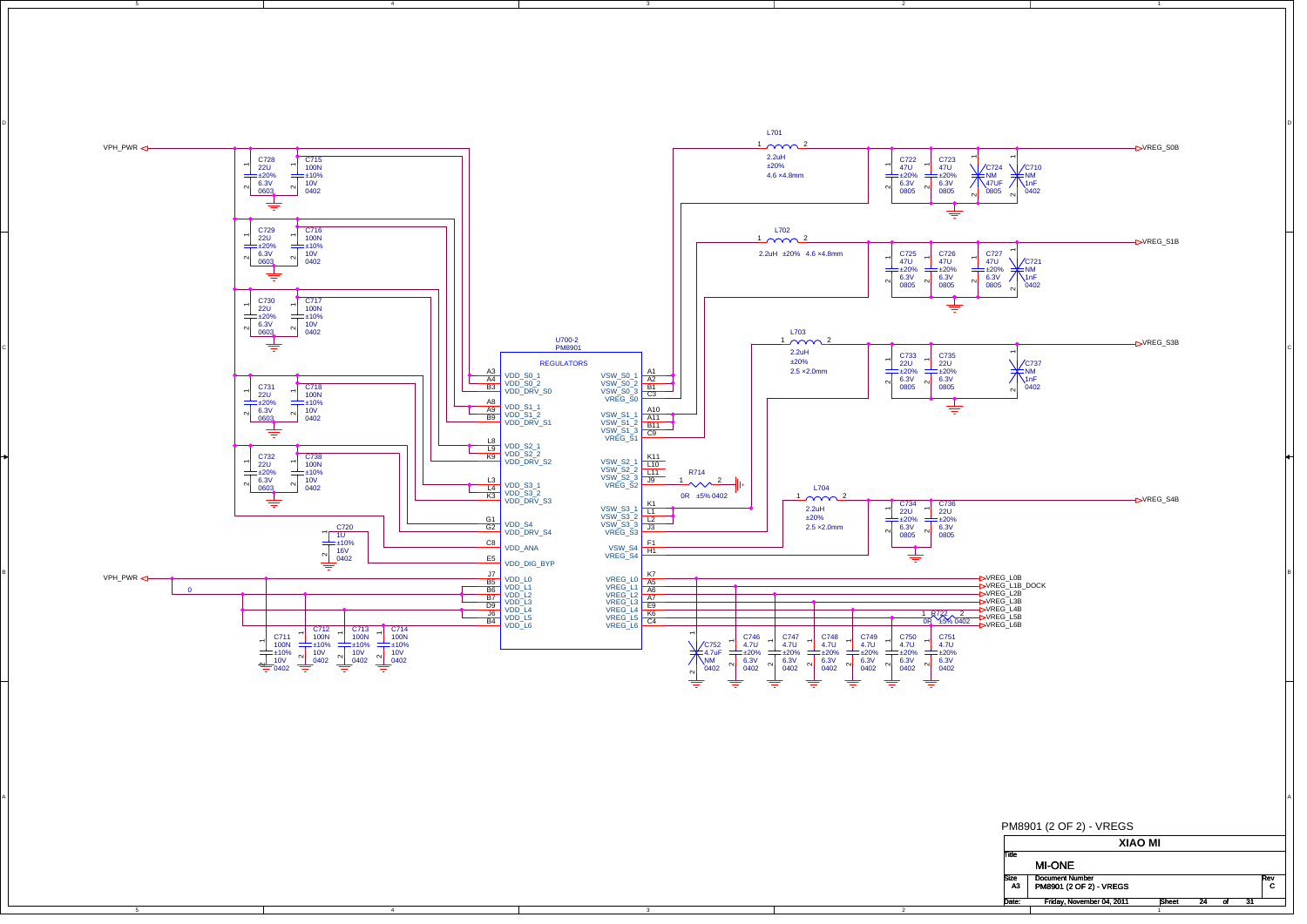

B

A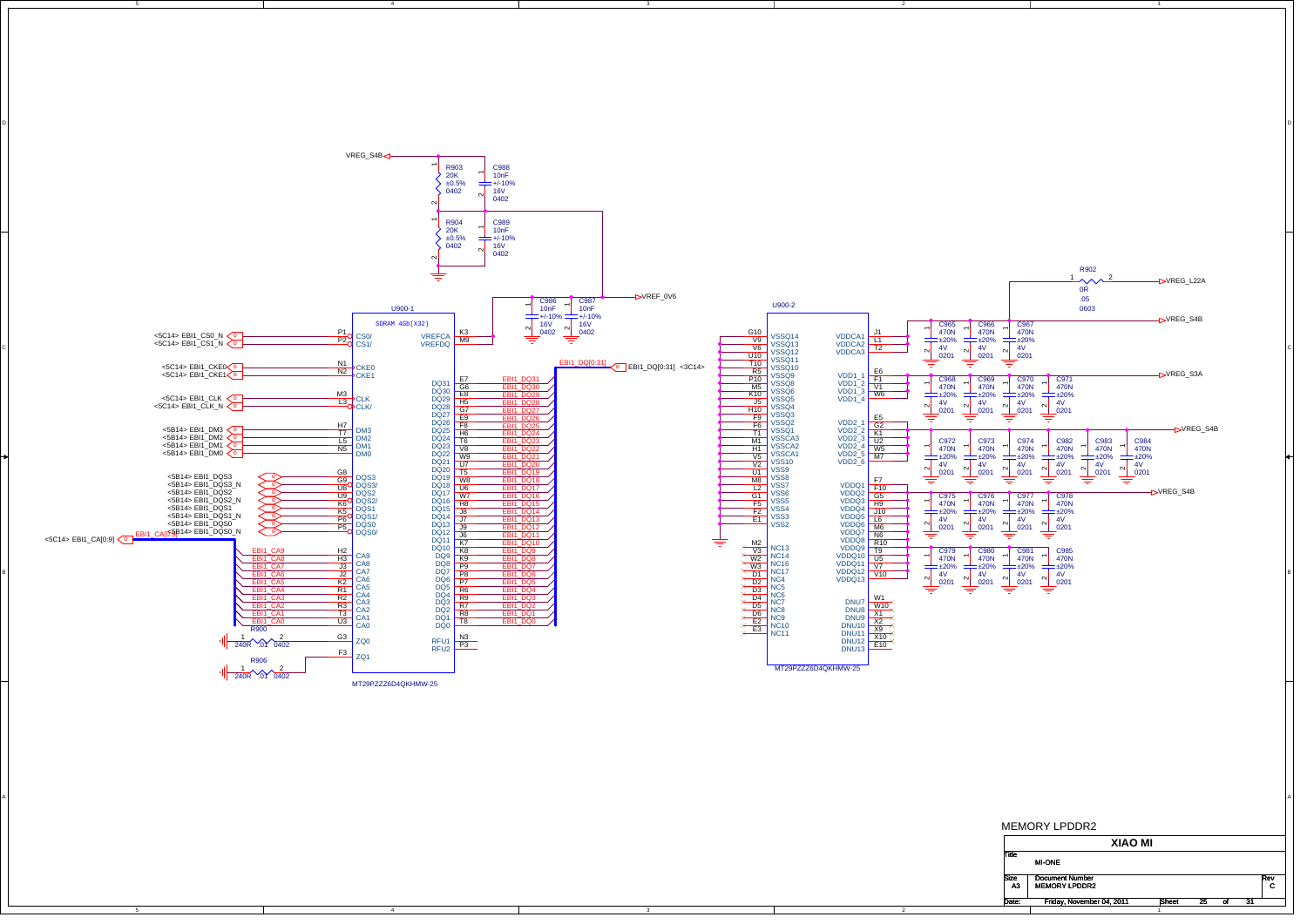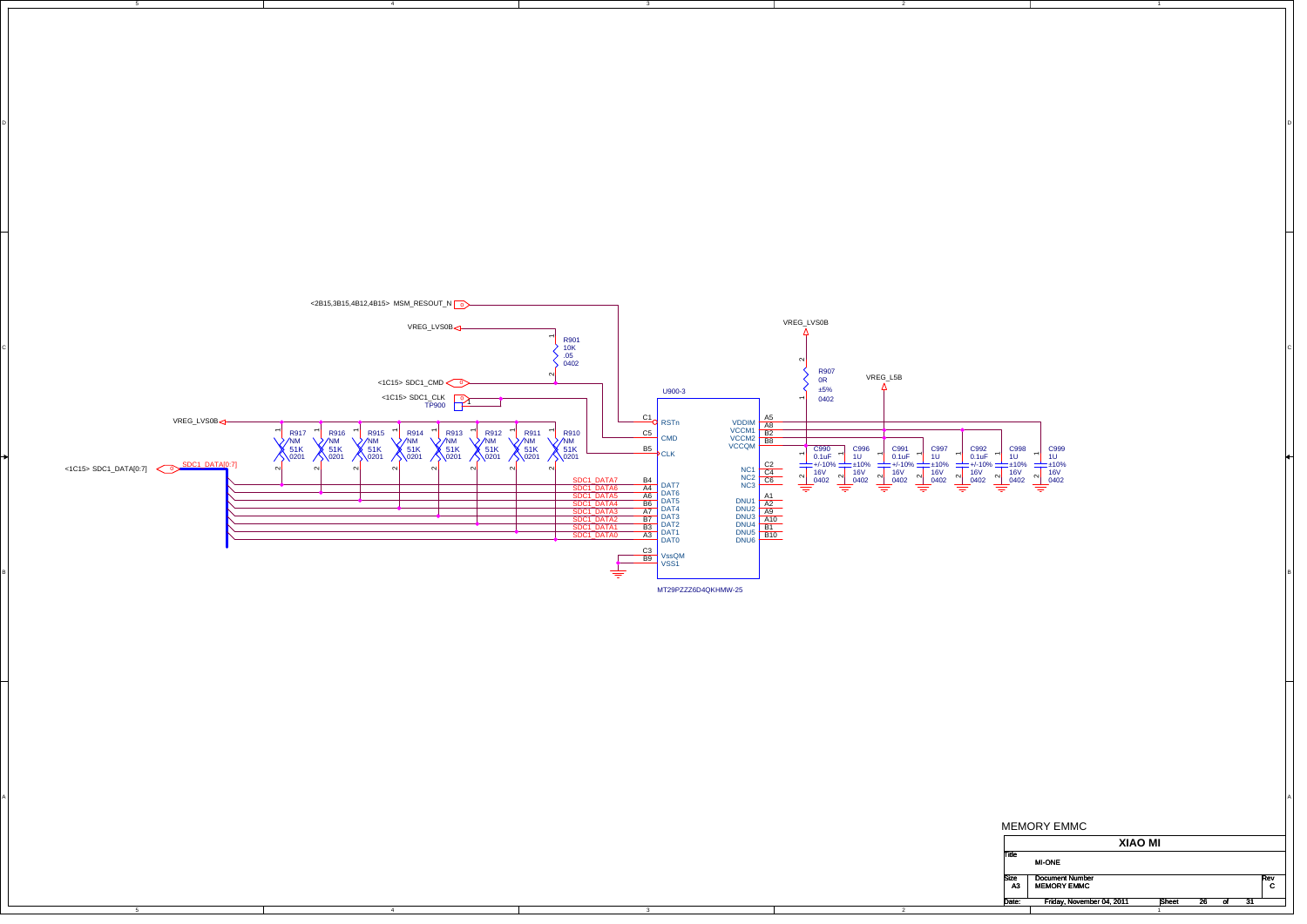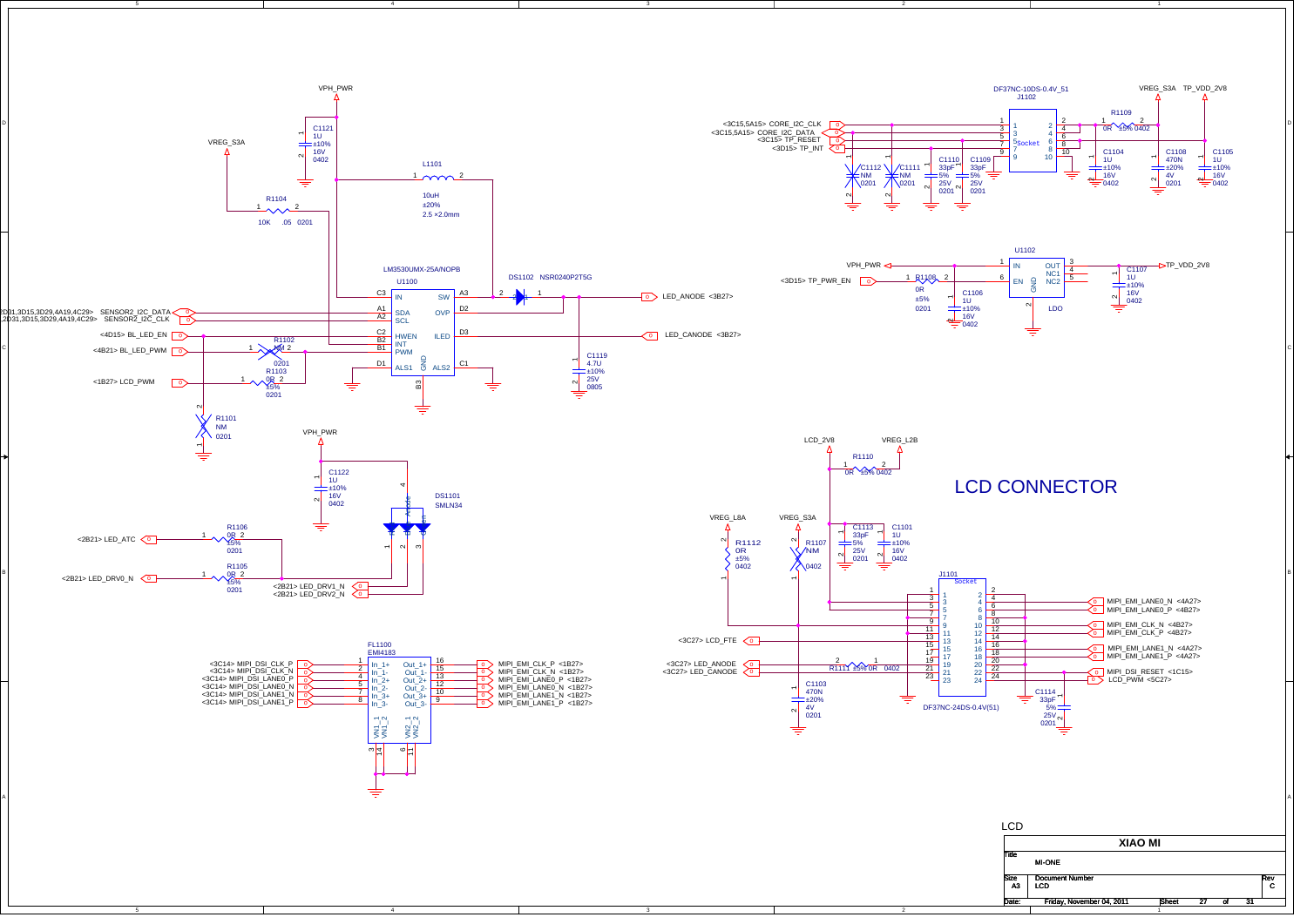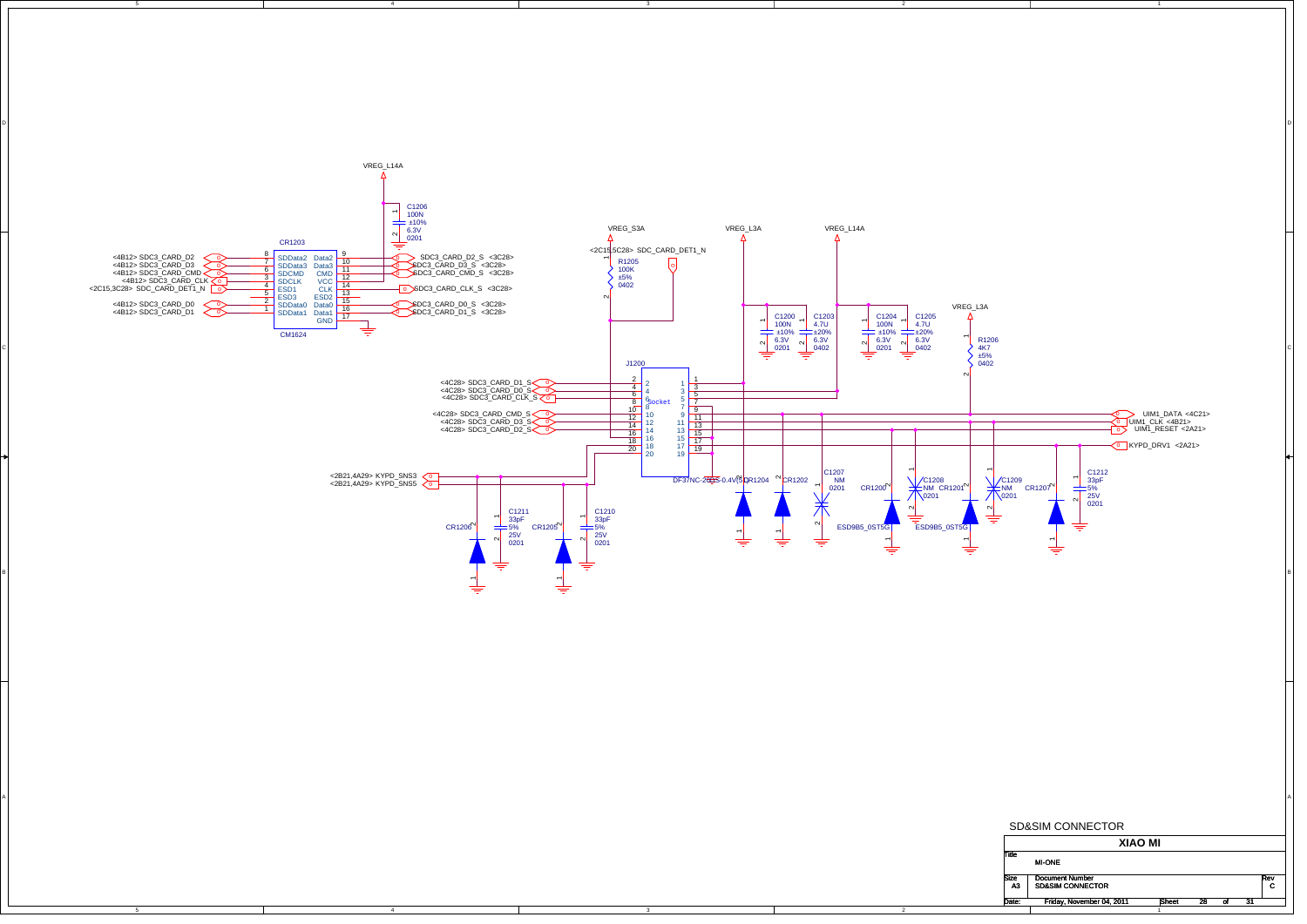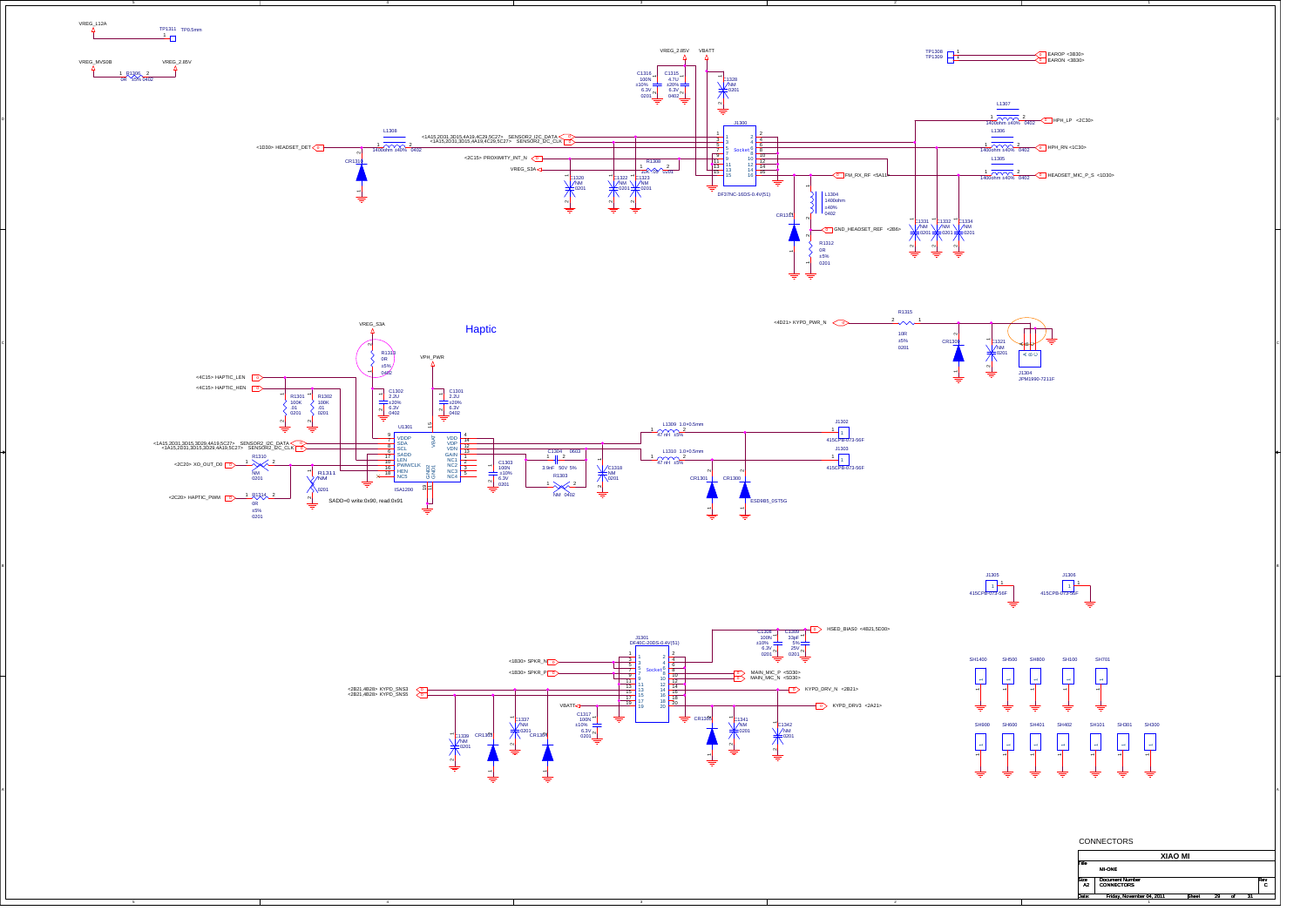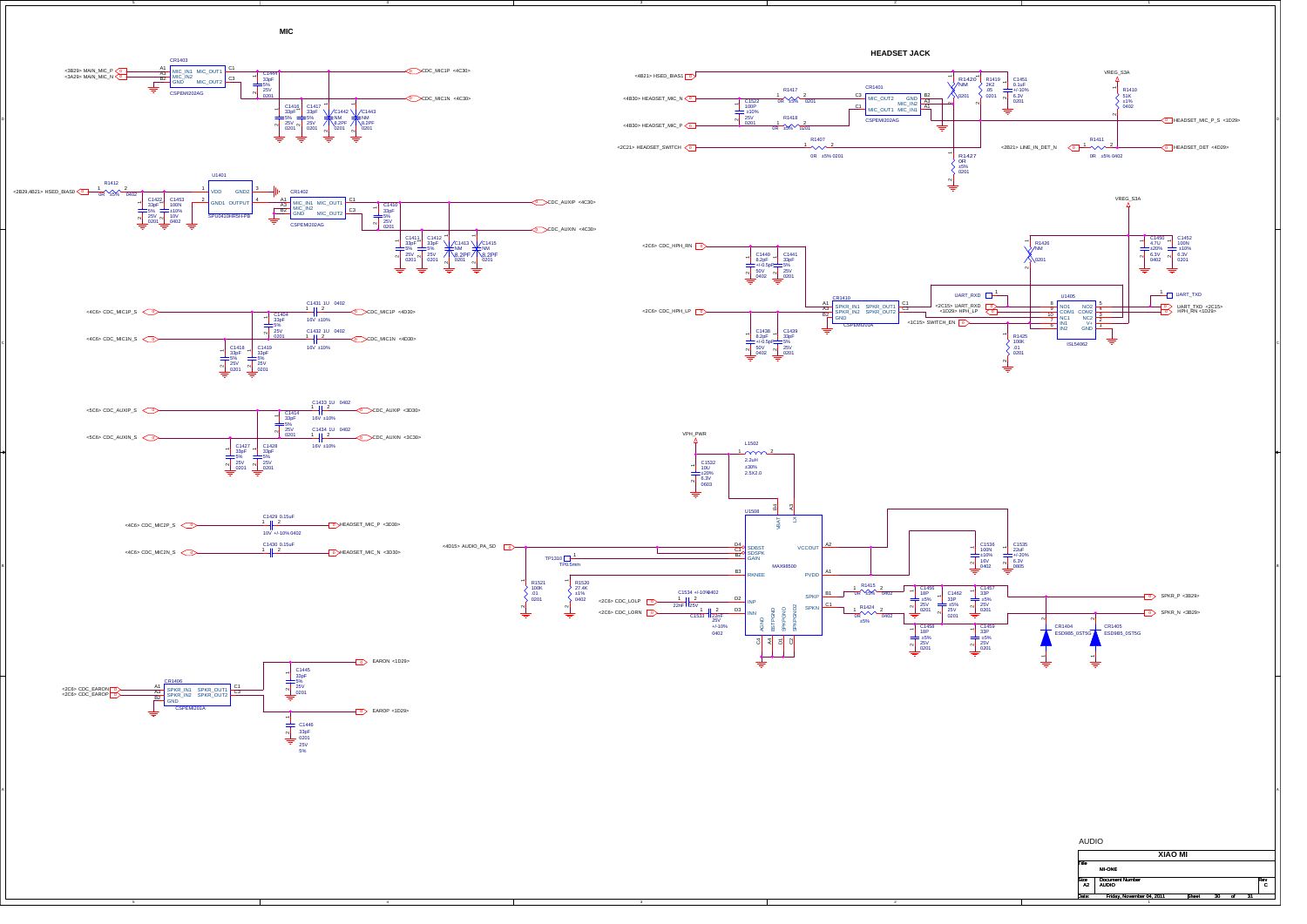